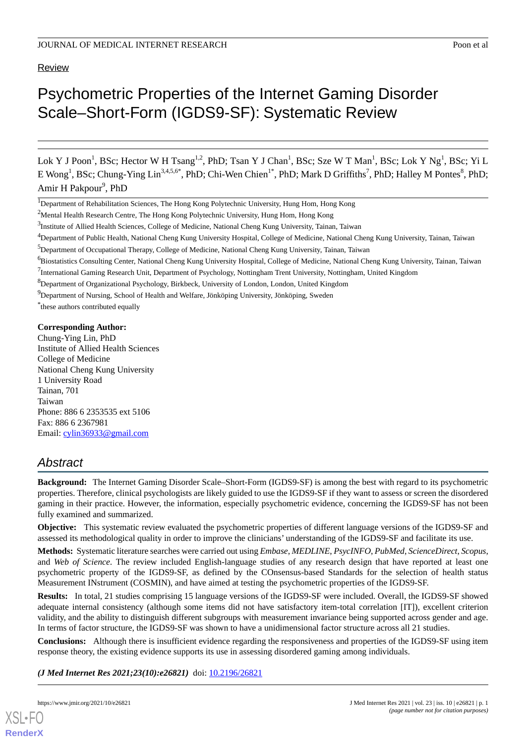**Review** 

# Psychometric Properties of the Internet Gaming Disorder Scale–Short-Form (IGDS9-SF): Systematic Review

Lok Y J Poon<sup>1</sup>, BSc; Hector W H Tsang<sup>1,2</sup>, PhD; Tsan Y J Chan<sup>1</sup>, BSc; Sze W T Man<sup>1</sup>, BSc; Lok Y Ng<sup>1</sup>, BSc; Yi L E Wong<sup>1</sup>, BSc; Chung-Ying Lin<sup>3,4,5,6\*</sup>, PhD; Chi-Wen Chien<sup>1\*</sup>, PhD; Mark D Griffiths<sup>7</sup>, PhD; Halley M Pontes<sup>8</sup>, PhD; Amir H Pakpour<sup>9</sup>, PhD

<sup>1</sup>Department of Rehabilitation Sciences, The Hong Kong Polytechnic University, Hung Hom, Hong Kong

<sup>2</sup>Mental Health Research Centre, The Hong Kong Polytechnic University, Hung Hom, Hong Kong

<sup>6</sup>Biostatistics Consulting Center, National Cheng Kung University Hospital, College of Medicine, National Cheng Kung University, Tainan, Taiwan

<sup>8</sup>Department of Organizational Psychology, Birkbeck, University of London, London, United Kingdom

<sup>9</sup>Department of Nursing, School of Health and Welfare, Jönköping University, Jönköping, Sweden

\* these authors contributed equally

#### **Corresponding Author:**

Chung-Ying Lin, PhD Institute of Allied Health Sciences College of Medicine National Cheng Kung University 1 University Road Tainan, 701 Taiwan Phone: 886 6 2353535 ext 5106 Fax: 886 6 2367981 Email: [cylin36933@gmail.com](mailto:cylin36933@gmail.com)

# *Abstract*

**Background:** The Internet Gaming Disorder Scale–Short-Form (IGDS9-SF) is among the best with regard to its psychometric properties. Therefore, clinical psychologists are likely guided to use the IGDS9-SF if they want to assess or screen the disordered gaming in their practice. However, the information, especially psychometric evidence, concerning the IGDS9-SF has not been fully examined and summarized.

**Objective:** This systematic review evaluated the psychometric properties of different language versions of the IGDS9-SF and assessed its methodological quality in order to improve the clinicians' understanding of the IGDS9-SF and facilitate its use.

**Methods:** Systematic literature searches were carried out using *Embase*, *MEDLINE*, *PsycINFO*, *PubMed*, *ScienceDirect*, *Scopus*, and *Web of Science*. The review included English-language studies of any research design that have reported at least one psychometric property of the IGDS9-SF, as defined by the COnsensus-based Standards for the selection of health status Measurement INstrument (COSMIN), and have aimed at testing the psychometric properties of the IGDS9-SF.

**Results:** In total, 21 studies comprising 15 language versions of the IGDS9-SF were included. Overall, the IGDS9-SF showed adequate internal consistency (although some items did not have satisfactory item-total correlation [IT]), excellent criterion validity, and the ability to distinguish different subgroups with measurement invariance being supported across gender and age. In terms of factor structure, the IGDS9-SF was shown to have a unidimensional factor structure across all 21 studies.

**Conclusions:** Although there is insufficient evidence regarding the responsiveness and properties of the IGDS9-SF using item response theory, the existing evidence supports its use in assessing disordered gaming among individuals.

*(J Med Internet Res 2021;23(10):e26821)* doi: [10.2196/26821](http://dx.doi.org/10.2196/26821)

<sup>&</sup>lt;sup>3</sup>Institute of Allied Health Sciences, College of Medicine, National Cheng Kung University, Tainan, Taiwan

<sup>4</sup>Department of Public Health, National Cheng Kung University Hospital, College of Medicine, National Cheng Kung University, Tainan, Taiwan

<sup>5</sup>Department of Occupational Therapy, College of Medicine, National Cheng Kung University, Tainan, Taiwan

<sup>&</sup>lt;sup>7</sup>International Gaming Research Unit, Department of Psychology, Nottingham Trent University, Nottingham, United Kingdom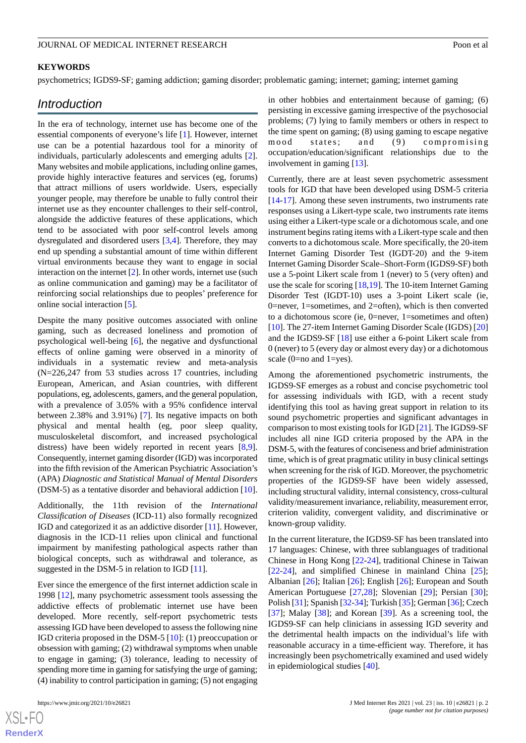#### **KEYWORDS**

psychometrics; IGDS9-SF; gaming addiction; gaming disorder; problematic gaming; internet; gaming; internet gaming

# *Introduction*

In the era of technology, internet use has become one of the essential components of everyone's life [[1\]](#page-11-0). However, internet use can be a potential hazardous tool for a minority of individuals, particularly adolescents and emerging adults [[2\]](#page-11-1). Many websites and mobile applications, including online games, provide highly interactive features and services (eg, forums) that attract millions of users worldwide. Users, especially younger people, may therefore be unable to fully control their internet use as they encounter challenges to their self-control, alongside the addictive features of these applications, which tend to be associated with poor self-control levels among dysregulated and disordered users [\[3](#page-11-2),[4\]](#page-11-3). Therefore, they may end up spending a substantial amount of time within different virtual environments because they want to engage in social interaction on the internet [[2\]](#page-11-1). In other words, internet use (such as online communication and gaming) may be a facilitator of reinforcing social relationships due to peoples' preference for online social interaction [\[5](#page-12-0)].

Despite the many positive outcomes associated with online gaming, such as decreased loneliness and promotion of psychological well-being [[6\]](#page-12-1), the negative and dysfunctional effects of online gaming were observed in a minority of individuals in a systematic review and meta-analysis (N=226,247 from 53 studies across 17 countries, including European, American, and Asian countries, with different populations, eg, adolescents, gamers, and the general population, with a prevalence of 3.05% with a 95% confidence interval between 2.38% and 3.91%) [[7\]](#page-12-2). Its negative impacts on both physical and mental health (eg, poor sleep quality, musculoskeletal discomfort, and increased psychological distress) have been widely reported in recent years [\[8](#page-12-3),[9\]](#page-12-4). Consequently, internet gaming disorder (IGD) was incorporated into the fifth revision of the American Psychiatric Association's (APA) *Diagnostic and Statistical Manual of Mental Disorders* (DSM-5) as a tentative disorder and behavioral addiction [[10\]](#page-12-5).

Additionally, the 11th revision of the *International Classification of Diseases* (ICD-11) also formally recognized IGD and categorized it as an addictive disorder [\[11](#page-12-6)]. However, diagnosis in the ICD-11 relies upon clinical and functional impairment by manifesting pathological aspects rather than biological concepts, such as withdrawal and tolerance, as suggested in the DSM-5 in relation to IGD [\[11](#page-12-6)].

Ever since the emergence of the first internet addiction scale in 1998 [[12\]](#page-12-7), many psychometric assessment tools assessing the addictive effects of problematic internet use have been developed. More recently, self-report psychometric tests assessing IGD have been developed to assess the following nine IGD criteria proposed in the DSM-5 [\[10](#page-12-5)]: (1) preoccupation or obsession with gaming; (2) withdrawal symptoms when unable to engage in gaming; (3) tolerance, leading to necessity of spending more time in gaming for satisfying the urge of gaming; (4) inability to control participation in gaming; (5) not engaging

 $XS$  $\cdot$ FC **[RenderX](http://www.renderx.com/)** in other hobbies and entertainment because of gaming; (6) persisting in excessive gaming irrespective of the psychosocial problems; (7) lying to family members or others in respect to the time spent on gaming; (8) using gaming to escape negative mood states; and (9) compromising occupation/education/significant relationships due to the involvement in gaming [\[13](#page-12-8)].

Currently, there are at least seven psychometric assessment tools for IGD that have been developed using DSM-5 criteria [[14](#page-12-9)[-17](#page-12-10)]. Among these seven instruments, two instruments rate responses using a Likert-type scale, two instruments rate items using either a Likert-type scale or a dichotomous scale, and one instrument begins rating items with a Likert-type scale and then converts to a dichotomous scale. More specifically, the 20-item Internet Gaming Disorder Test (IGDT-20) and the 9-item Internet Gaming Disorder Scale–Short-Form (IGDS9-SF) both use a 5-point Likert scale from 1 (never) to 5 (very often) and use the scale for scoring [\[18](#page-12-11),[19\]](#page-12-12). The 10-item Internet Gaming Disorder Test (IGDT-10) uses a 3-point Likert scale (ie, 0=never, 1=sometimes, and 2=often), which is then converted to a dichotomous score (ie, 0=never, 1=sometimes and often) [[10\]](#page-12-5). The 27-item Internet Gaming Disorder Scale (IGDS) [\[20](#page-12-13)] and the IGDS9-SF [\[18](#page-12-11)] use either a 6-point Likert scale from 0 (never) to 5 (every day or almost every day) or a dichotomous scale (0=no and 1=yes).

Among the aforementioned psychometric instruments, the IGDS9-SF emerges as a robust and concise psychometric tool for assessing individuals with IGD, with a recent study identifying this tool as having great support in relation to its sound psychometric properties and significant advantages in comparison to most existing tools for IGD [[21\]](#page-12-14). The IGDS9-SF includes all nine IGD criteria proposed by the APA in the DSM-5, with the features of conciseness and brief administration time, which is of great pragmatic utility in busy clinical settings when screening for the risk of IGD. Moreover, the psychometric properties of the IGDS9-SF have been widely assessed, including structural validity, internal consistency, cross-cultural validity/measurement invariance, reliability, measurement error, criterion validity, convergent validity, and discriminative or known-group validity.

In the current literature, the IGDS9-SF has been translated into 17 languages: Chinese, with three sublanguages of traditional Chinese in Hong Kong [\[22](#page-12-15)-[24\]](#page-12-16), traditional Chinese in Taiwan [[22](#page-12-15)[-24](#page-12-16)], and simplified Chinese in mainland China [[25\]](#page-12-17); Albanian [\[26](#page-13-0)]; Italian [[26\]](#page-13-0); English [26]; European and South American Portuguese [\[27](#page-13-1),[28\]](#page-13-2); Slovenian [\[29](#page-13-3)]; Persian [[30\]](#page-13-4); Polish [[31\]](#page-13-5); Spanish [\[32](#page-13-6)[-34](#page-13-7)]; Turkish [[35\]](#page-13-8); German [\[36\]](#page-13-9); Czech [[37\]](#page-13-10); Malay [[38\]](#page-13-11); and Korean [[39\]](#page-13-12). As a screening tool, the IGDS9-SF can help clinicians in assessing IGD severity and the detrimental health impacts on the individual's life with reasonable accuracy in a time-efficient way. Therefore, it has increasingly been psychometrically examined and used widely in epidemiological studies [\[40](#page-13-13)].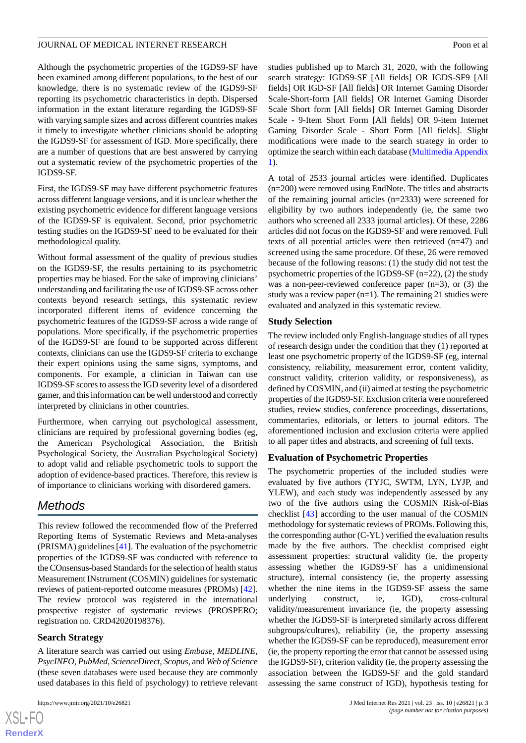Although the psychometric properties of the IGDS9-SF have been examined among different populations, to the best of our knowledge, there is no systematic review of the IGDS9-SF reporting its psychometric characteristics in depth. Dispersed information in the extant literature regarding the IGDS9-SF with varying sample sizes and across different countries makes it timely to investigate whether clinicians should be adopting the IGDS9-SF for assessment of IGD. More specifically, there are a number of questions that are best answered by carrying out a systematic review of the psychometric properties of the IGDS9-SF.

First, the IGDS9-SF may have different psychometric features across different language versions, and it is unclear whether the existing psychometric evidence for different language versions of the IGDS9-SF is equivalent. Second, prior psychometric testing studies on the IGDS9-SF need to be evaluated for their methodological quality.

Without formal assessment of the quality of previous studies on the IGDS9-SF, the results pertaining to its psychometric properties may be biased. For the sake of improving clinicians' understanding and facilitating the use of IGDS9-SF across other contexts beyond research settings, this systematic review incorporated different items of evidence concerning the psychometric features of the IGDS9-SF across a wide range of populations. More specifically, if the psychometric properties of the IGDS9-SF are found to be supported across different contexts, clinicians can use the IGDS9-SF criteria to exchange their expert opinions using the same signs, symptoms, and components. For example, a clinician in Taiwan can use IGDS9-SF scores to assess the IGD severity level of a disordered gamer, and this information can be well understood and correctly interpreted by clinicians in other countries.

Furthermore, when carrying out psychological assessment, clinicians are required by professional governing bodies (eg, the American Psychological Association, the British Psychological Society, the Australian Psychological Society) to adopt valid and reliable psychometric tools to support the adoption of evidence-based practices. Therefore, this review is of importance to clinicians working with disordered gamers.

# *Methods*

This review followed the recommended flow of the Preferred Reporting Items of Systematic Reviews and Meta-analyses (PRISMA) guidelines [[41\]](#page-13-14). The evaluation of the psychometric properties of the IGDS9-SF was conducted with reference to the COnsensus-based Standards for the selection of health status Measurement INstrument (COSMIN) guidelines for systematic reviews of patient-reported outcome measures (PROMs) [[42\]](#page-13-15). The review protocol was registered in the international prospective register of systematic reviews (PROSPERO; registration no. CRD42020198376).

# **Search Strategy**

 $XS$ -FO **[RenderX](http://www.renderx.com/)**

A literature search was carried out using *Embase*, *MEDLINE*, *PsycINFO*, *PubMed*, *ScienceDirect*, *Scopus*, and *Web of Science* (these seven databases were used because they are commonly used databases in this field of psychology) to retrieve relevant

studies published up to March 31, 2020, with the following search strategy: IGDS9-SF [All fields] OR IGDS-SF9 [All fields] OR IGD-SF [All fields] OR Internet Gaming Disorder Scale-Short-form [All fields] OR Internet Gaming Disorder Scale Short form [All fields] OR Internet Gaming Disorder Scale - 9-Item Short Form [All fields] OR 9-item Internet Gaming Disorder Scale - Short Form [All fields]. Slight modifications were made to the search strategy in order to optimize the search within each database [\(Multimedia Appendix](#page-11-4) [1\)](#page-11-4).

A total of 2533 journal articles were identified. Duplicates (n=200) were removed using EndNote. The titles and abstracts of the remaining journal articles (n=2333) were screened for eligibility by two authors independently (ie, the same two authors who screened all 2333 journal articles). Of these, 2286 articles did not focus on the IGDS9-SF and were removed. Full texts of all potential articles were then retrieved (n=47) and screened using the same procedure. Of these, 26 were removed because of the following reasons: (1) the study did not test the psychometric properties of the IGDS9-SF (n=22), (2) the study was a non-peer-reviewed conference paper (n=3), or (3) the study was a review paper  $(n=1)$ . The remaining 21 studies were evaluated and analyzed in this systematic review.

### **Study Selection**

The review included only English-language studies of all types of research design under the condition that they (1) reported at least one psychometric property of the IGDS9-SF (eg, internal consistency, reliability, measurement error, content validity, construct validity, criterion validity, or responsiveness), as defined by COSMIN, and (ii) aimed at testing the psychometric properties of the IGDS9-SF. Exclusion criteria were nonrefereed studies, review studies, conference proceedings, dissertations, commentaries, editorials, or letters to journal editors. The aforementioned inclusion and exclusion criteria were applied to all paper titles and abstracts, and screening of full texts.

### **Evaluation of Psychometric Properties**

The psychometric properties of the included studies were evaluated by five authors (TYJC, SWTM, LYN, LYJP, and YLEW), and each study was independently assessed by any two of the five authors using the COSMIN Risk-of-Bias checklist [\[43](#page-13-16)] according to the user manual of the COSMIN methodology for systematic reviews of PROMs. Following this, the corresponding author (C-YL) verified the evaluation results made by the five authors. The checklist comprised eight assessment properties: structural validity (ie, the property assessing whether the IGDS9-SF has a unidimensional structure), internal consistency (ie, the property assessing whether the nine items in the IGDS9-SF assess the same underlying construct, ie, IGD), cross-cultural validity/measurement invariance (ie, the property assessing whether the IGDS9-SF is interpreted similarly across different subgroups/cultures), reliability (ie, the property assessing whether the IGDS9-SF can be reproduced), measurement error (ie, the property reporting the error that cannot be assessed using the IGDS9-SF), criterion validity (ie, the property assessing the association between the IGDS9-SF and the gold standard assessing the same construct of IGD), hypothesis testing for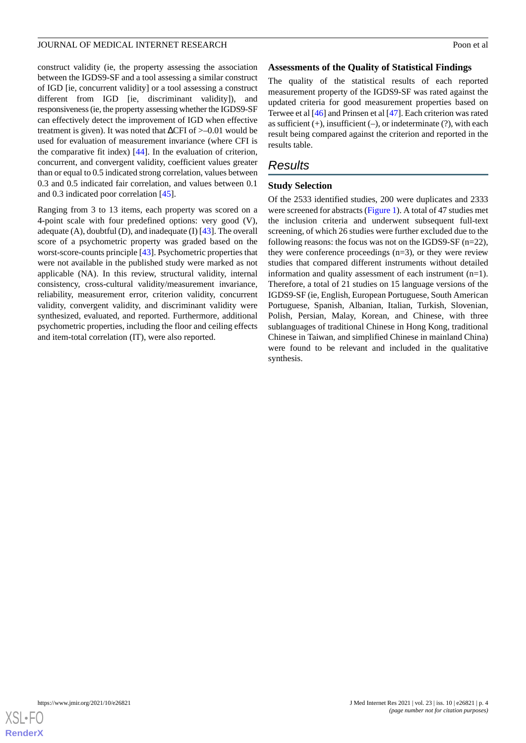construct validity (ie, the property assessing the association between the IGDS9-SF and a tool assessing a similar construct of IGD [ie, concurrent validity] or a tool assessing a construct different from IGD [ie, discriminant validity]), and responsiveness (ie, the property assessing whether the IGDS9-SF can effectively detect the improvement of IGD when effective treatment is given). It was noted that  $\Delta$ CFI of  $>$ –0.01 would be used for evaluation of measurement invariance (where CFI is the comparative fit index) [[44\]](#page-13-17). In the evaluation of criterion, concurrent, and convergent validity, coefficient values greater than or equal to 0.5 indicated strong correlation, values between 0.3 and 0.5 indicated fair correlation, and values between 0.1 and 0.3 indicated poor correlation [[45\]](#page-13-18).

Ranging from 3 to 13 items, each property was scored on a 4-point scale with four predefined options: very good (V), adequate (A), doubtful (D), and inadequate (I) [\[43](#page-13-16)]. The overall score of a psychometric property was graded based on the worst-score-counts principle [[43\]](#page-13-16). Psychometric properties that were not available in the published study were marked as not applicable (NA). In this review, structural validity, internal consistency, cross-cultural validity/measurement invariance, reliability, measurement error, criterion validity, concurrent validity, convergent validity, and discriminant validity were synthesized, evaluated, and reported. Furthermore, additional psychometric properties, including the floor and ceiling effects and item-total correlation (IT), were also reported.

### **Assessments of the Quality of Statistical Findings**

The quality of the statistical results of each reported measurement property of the IGDS9-SF was rated against the updated criteria for good measurement properties based on Terwee et al [\[46](#page-13-19)] and Prinsen et al [[47\]](#page-14-0). Each criterion was rated as sufficient  $(+)$ , insufficient  $(-)$ , or indeterminate  $(?)$ , with each result being compared against the criterion and reported in the results table.

# *Results*

# **Study Selection**

Of the 2533 identified studies, 200 were duplicates and 2333 were screened for abstracts ([Figure 1\)](#page-4-0). A total of 47 studies met the inclusion criteria and underwent subsequent full-text screening, of which 26 studies were further excluded due to the following reasons: the focus was not on the IGDS9-SF (n=22), they were conference proceedings (n=3), or they were review studies that compared different instruments without detailed information and quality assessment of each instrument (n=1). Therefore, a total of 21 studies on 15 language versions of the IGDS9-SF (ie, English, European Portuguese, South American Portuguese, Spanish, Albanian, Italian, Turkish, Slovenian, Polish, Persian, Malay, Korean, and Chinese, with three sublanguages of traditional Chinese in Hong Kong, traditional Chinese in Taiwan, and simplified Chinese in mainland China) were found to be relevant and included in the qualitative synthesis.

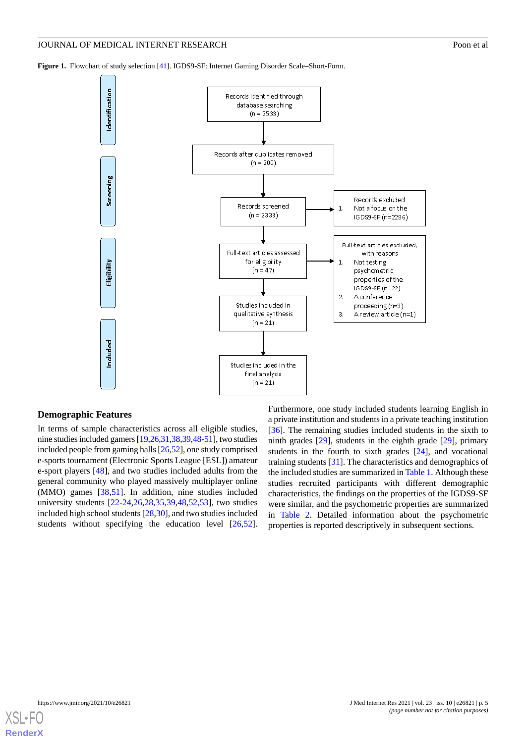<span id="page-4-0"></span>

### **Demographic Features**

In terms of sample characteristics across all eligible studies, nine studies included gamers [\[19,](#page-12-12)[26,](#page-13-0)[31](#page-13-5)[,38](#page-13-11)[,39](#page-13-12)[,48](#page-14-1)[-51\]](#page-14-2), two studies included people from gaming halls [\[26](#page-13-0)[,52](#page-14-3)], one study comprised e-sports tournament (Electronic Sports League [ESL]) amateur e-sport players [\[48](#page-14-1)], and two studies included adults from the general community who played massively multiplayer online (MMO) games [[38,](#page-13-11)[51](#page-14-2)]. In addition, nine studies included university students [\[22](#page-12-15)-[24,](#page-12-16)[26](#page-13-0),[28,](#page-13-2)[35](#page-13-8),[39,](#page-13-12)[48](#page-14-1),[52,](#page-14-3)[53](#page-14-4)], two studies included high school students [\[28](#page-13-2),[30\]](#page-13-4), and two studies included students without specifying the education level [\[26](#page-13-0),[52\]](#page-14-3).

Furthermore, one study included students learning English in a private institution and students in a private teaching institution [[36\]](#page-13-9). The remaining studies included students in the sixth to ninth grades [[29\]](#page-13-3), students in the eighth grade [[29\]](#page-13-3), primary students in the fourth to sixth grades [\[24](#page-12-16)], and vocational training students [[31\]](#page-13-5). The characteristics and demographics of the included studies are summarized in [Table 1.](#page-5-0) Although these studies recruited participants with different demographic characteristics, the findings on the properties of the IGDS9-SF were similar, and the psychometric properties are summarized in [Table 2](#page-7-0). Detailed information about the psychometric properties is reported descriptively in subsequent sections.

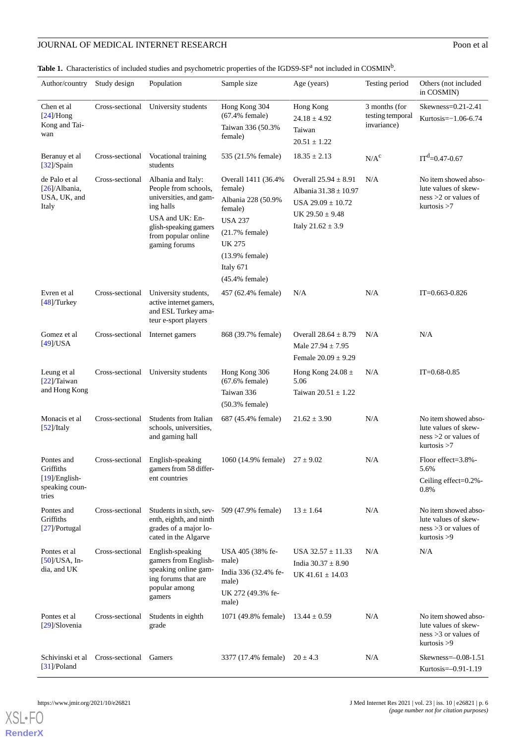# **JOURNAL OF MEDICAL INTERNET RESEARCH** Poon et al

<span id="page-5-0"></span>Table 1. Characteristics of included studies and psychometric properties of the IGDS9-SF<sup>a</sup> not included in COSMIN<sup>b</sup>.

| Author/country                                                         | Study design    | Population                                                                                                                                                            | Sample size                                                                                                                                                                 | Age (years)                                                                                                                | Testing period                                   | Others (not included<br>in COSMIN)                                                       |
|------------------------------------------------------------------------|-----------------|-----------------------------------------------------------------------------------------------------------------------------------------------------------------------|-----------------------------------------------------------------------------------------------------------------------------------------------------------------------------|----------------------------------------------------------------------------------------------------------------------------|--------------------------------------------------|------------------------------------------------------------------------------------------|
| Chen et al<br>$[24]$ /Hong<br>Kong and Tai-<br>wan                     | Cross-sectional | University students                                                                                                                                                   | Hong Kong 304<br>$(67.4\%$ female)<br>Taiwan 336 (50.3%<br>female)                                                                                                          | Hong Kong<br>$24.18 \pm 4.92$<br>Taiwan<br>$20.51 \pm 1.22$                                                                | 3 months (for<br>testing temporal<br>invariance) | $Skewness = 0.21 - 2.41$<br>Kurtosis= $-1.06-6.74$                                       |
| Beranuy et al<br>$[32]$ /Spain                                         | Cross-sectional | Vocational training<br>students                                                                                                                                       | 535 (21.5% female)                                                                                                                                                          | $18.35 \pm 2.13$                                                                                                           | $N/A^c$                                          | $IT^d=0.47-0.67$                                                                         |
| de Palo et al<br>$[26]/\text{Albania}$ ,<br>USA, UK, and<br>Italy      | Cross-sectional | Albania and Italy:<br>People from schools,<br>universities, and gam-<br>ing halls<br>USA and UK: En-<br>glish-speaking gamers<br>from popular online<br>gaming forums | Overall 1411 (36.4%<br>female)<br>Albania 228 (50.9%<br>female)<br><b>USA 237</b><br>$(21.7%$ female)<br><b>UK 275</b><br>$(13.9%$ female)<br>Italy 671<br>$(45.4%$ female) | Overall $25.94 \pm 8.91$<br>Albania 31.38 ± 10.97<br>USA $29.09 \pm 10.72$<br>UK $29.50 \pm 9.48$<br>Italy $21.62 \pm 3.9$ | N/A                                              | No item showed abso-<br>lute values of skew-<br>$ness > 2$ or values of<br>kurtosis $>7$ |
| Evren et al<br>$[48]$ Turkey                                           | Cross-sectional | University students,<br>active internet gamers,<br>and ESL Turkey ama-<br>teur e-sport players                                                                        | 457 (62.4% female)                                                                                                                                                          | N/A                                                                                                                        | N/A                                              | $IT = 0.663 - 0.826$                                                                     |
| Gomez et al<br>$[49]$ /USA                                             | Cross-sectional | Internet gamers                                                                                                                                                       | 868 (39.7% female)                                                                                                                                                          | Overall $28.64 \pm 8.79$<br>Male $27.94 \pm 7.95$<br>Female $20.09 \pm 9.29$                                               | N/A                                              | N/A                                                                                      |
| Leung et al<br>$[22]$ /Taiwan<br>and Hong Kong                         | Cross-sectional | University students                                                                                                                                                   | Hong Kong 306<br>$(67.6\%$ female)<br>Taiwan 336<br>$(50.3%$ female)                                                                                                        | Hong Kong 24.08 $\pm$<br>5.06<br>Taiwan $20.51 \pm 1.22$                                                                   | N/A                                              | $IT = 0.68 - 0.85$                                                                       |
| Monacis et al<br>$[52]$ /Italy                                         | Cross-sectional | Students from Italian<br>schools, universities,<br>and gaming hall                                                                                                    | 687 (45.4% female)                                                                                                                                                          | $21.62 \pm 3.90$                                                                                                           | N/A                                              | No item showed abso-<br>lute values of skew-<br>ness $>2$ or values of<br>kurtosis > 7   |
| Pontes and<br>Griffiths<br>$[19]$ /English-<br>speaking coun-<br>tries | Cross-sectional | English-speaking<br>gamers from 58 differ-<br>ent countries                                                                                                           | 1060 (14.9% female)                                                                                                                                                         | $27 \pm 9.02$                                                                                                              | N/A                                              | Floor effect=3.8%-<br>5.6%<br>Ceiling effect=0.2%-<br>0.8%                               |
| Pontes and<br>Griffiths<br>$[27]$ /Portugal                            | Cross-sectional | Students in sixth, sev-<br>enth, eighth, and ninth<br>grades of a major lo-<br>cated in the Algarve                                                                   | 509 (47.9% female)                                                                                                                                                          | $13 \pm 1.64$                                                                                                              | N/A                                              | No item showed abso-<br>lute values of skew-<br>ness $>3$ or values of<br>kurtosis > 9   |
| Pontes et al<br>$[50]/USA$ , In-<br>dia, and UK                        | Cross-sectional | English-speaking<br>gamers from English-<br>speaking online gam-<br>ing forums that are<br>popular among<br>gamers                                                    | USA 405 (38% fe-<br>male)<br>India 336 (32.4% fe-<br>male)<br>UK 272 (49.3% fe-<br>male)                                                                                    | USA $32.57 \pm 11.33$<br>India $30.37 \pm 8.90$<br>UK 41.61 $\pm$ 14.03                                                    | N/A                                              | N/A                                                                                      |
| Pontes et al<br>$[29]$ /Slovenia                                       | Cross-sectional | Students in eighth<br>grade                                                                                                                                           | 1071 (49.8% female)                                                                                                                                                         | $13.44 \pm 0.59$                                                                                                           | N/A                                              | No item showed abso-<br>lute values of skew-<br>$ness > 3$ or values of<br>kurtosis > 9  |
| Schivinski et al<br>$[31]$ /Poland                                     | Cross-sectional | Gamers                                                                                                                                                                | 3377 (17.4% female)                                                                                                                                                         | $20 \pm 4.3$                                                                                                               | N/A                                              | Skewness= $-0.08-1.51$<br>Kurtosis=-0.91-1.19                                            |

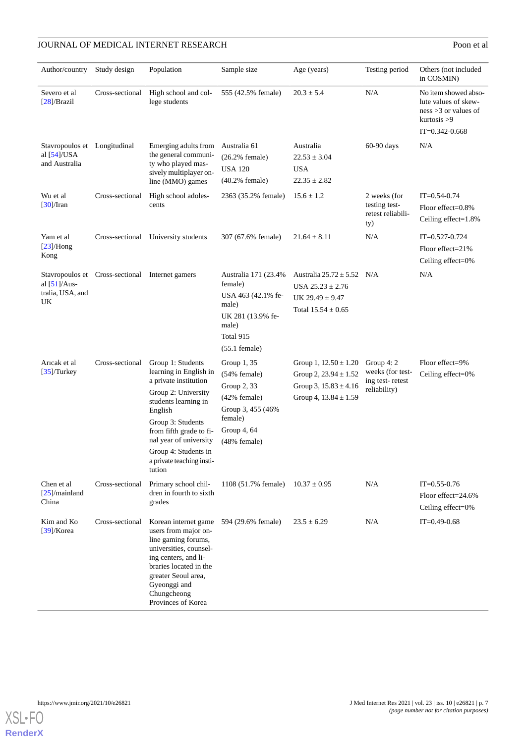# **JOURNAL OF MEDICAL INTERNET RESEARCH** Poon et al

| Author/country                                                  | Study design                                    | Population                                                                                                                                                                                                                                                              | Sample size                                                                                                                          | Age (years)                                                                                                      | Testing period                                                     | Others (not included<br>in COSMIN)                                                                         |
|-----------------------------------------------------------------|-------------------------------------------------|-------------------------------------------------------------------------------------------------------------------------------------------------------------------------------------------------------------------------------------------------------------------------|--------------------------------------------------------------------------------------------------------------------------------------|------------------------------------------------------------------------------------------------------------------|--------------------------------------------------------------------|------------------------------------------------------------------------------------------------------------|
| Severo et al<br>$[28]$ /Brazil                                  | Cross-sectional                                 | High school and col-<br>lege students                                                                                                                                                                                                                                   | 555 (42.5% female)                                                                                                                   | $20.3 \pm 5.4$                                                                                                   | N/A                                                                | No item showed abso-<br>lute values of skew-<br>ness $>3$ or values of<br>kurtosis > 9<br>$IT=0.342-0.668$ |
| Stavropoulos et Longitudinal<br>al $[54]$ /USA<br>and Australia |                                                 | Emerging adults from<br>the general communi-<br>ty who played mas-<br>sively multiplayer on-<br>line (MMO) games                                                                                                                                                        | Australia 61<br>$(26.2%$ female)<br><b>USA 120</b><br>$(40.2%$ female)                                                               | Australia<br>$22.53 \pm 3.04$<br><b>USA</b><br>$22.35 \pm 2.82$                                                  | 60-90 days                                                         | N/A                                                                                                        |
| Wu et al<br>$[30]/$ Iran                                        | Cross-sectional                                 | High school adoles-<br>cents                                                                                                                                                                                                                                            | 2363 (35.2% female)                                                                                                                  | $15.6 \pm 1.2$                                                                                                   | 2 weeks (for<br>testing test-<br>retest reliabili-<br>ty)          | $IT = 0.54 - 0.74$<br>Floor effect=0.8%<br>Ceiling effect=1.8%                                             |
| Yam et al<br>$[23]/\text{Hong}$<br>Kong                         |                                                 | Cross-sectional University students                                                                                                                                                                                                                                     | 307 (67.6% female)                                                                                                                   | $21.64 \pm 8.11$                                                                                                 | N/A                                                                | $IT = 0.527 - 0.724$<br>Floor effect= $21\%$<br>Ceiling effect=0%                                          |
| al $[51]$ /Aus-<br>tralia, USA, and<br>UK                       | Stavropoulos et Cross-sectional Internet gamers |                                                                                                                                                                                                                                                                         | Australia 171 (23.4%<br>female)<br>USA 463 (42.1% fe-<br>male)<br>UK 281 (13.9% fe-<br>male)<br>Total 915<br>$(55.1 \text{ female})$ | Australia $25.72 \pm 5.52$<br>USA $25.23 \pm 2.76$<br>UK 29.49 $\pm$ 9.47<br>Total $15.54 \pm 0.65$              | N/A                                                                | N/A                                                                                                        |
| Arıcak et al<br>$[35]$ Turkey                                   | Cross-sectional                                 | Group 1: Students<br>learning in English in<br>a private institution<br>Group 2: University<br>students learning in<br>English<br>Group 3: Students<br>from fifth grade to fi-<br>nal year of university<br>Group 4: Students in<br>a private teaching insti-<br>tution | Group 1, 35<br>$(54%$ female)<br>Group 2, 33<br>(42% female)<br>Group 3, 455 (46%)<br>female)<br>Group $4, 64$<br>$(48%$ female)     | Group 1, $12.50 \pm 1.20$<br>Group 2, $23.94 \pm 1.52$<br>Group 3, $15.83 \pm 4.16$<br>Group 4, $13.84 \pm 1.59$ | Group $4:2$<br>weeks (for test-<br>ing test-retest<br>reliability) | Floor effect=9%<br>Ceiling effect=0%                                                                       |
| Chen et al<br>$[25]$ /mainland<br>China                         | Cross-sectional                                 | Primary school chil-<br>dren in fourth to sixth<br>grades                                                                                                                                                                                                               | 1108 (51.7% female)                                                                                                                  | $10.37 \pm 0.95$                                                                                                 | N/A                                                                | $IT = 0.55 - 0.76$<br>Floor effect= $24.6\%$<br>Ceiling effect=0%                                          |
| Kim and Ko<br>$[39]$ /Korea                                     | Cross-sectional                                 | Korean internet game<br>users from major on-<br>line gaming forums,<br>universities, counsel-<br>ing centers, and li-<br>braries located in the<br>greater Seoul area,<br>Gyeonggi and<br>Chungcheong<br>Provinces of Korea                                             | 594 (29.6% female)                                                                                                                   | $23.5 \pm 6.29$                                                                                                  | N/A                                                                | $IT = 0.49 - 0.68$                                                                                         |

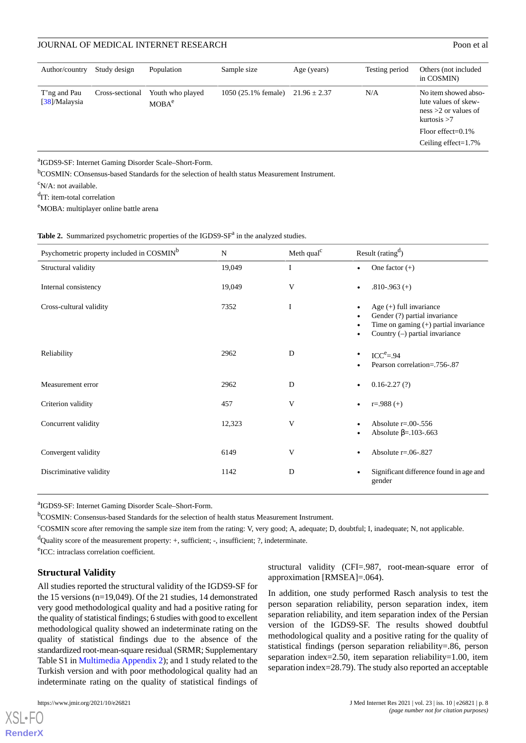# JOURNAL OF MEDICAL INTERNET RESEARCH POOL AND THE SEARCH POOL ASSAULT AND RESEARCH POOL ASSAULT AND RESEARCH POOL ASSAULT AND RESEARCH POOL ASSAULT AND RESEARCH POOL ASSAULT AND RESEARCH POOL ASSAULT AND RESEARCH POOL ASSA

| Author/country                | Study design    | Population                            | Sample size         | Age (years)      | Testing period | Others (not included)<br>in COSMIN)                                                    |
|-------------------------------|-----------------|---------------------------------------|---------------------|------------------|----------------|----------------------------------------------------------------------------------------|
| T'ng and Pau<br>[38]/Malaysia | Cross-sectional | Youth who played<br>MOBA <sup>e</sup> | 1050 (25.1% female) | $21.96 \pm 2.37$ | N/A            | No item showed abso-<br>lute values of skew-<br>ness $>2$ or values of<br>kurtosis > 7 |
|                               |                 |                                       |                     |                  |                | Floor effect= $0.1\%$                                                                  |
|                               |                 |                                       |                     |                  |                | Ceiling effect= $1.7\%$                                                                |

a IGDS9-SF: Internet Gaming Disorder Scale–Short-Form.

<sup>b</sup>COSMIN: COnsensus-based Standards for the selection of health status Measurement Instrument.

 $\rm^cN/A$ : not available.

<sup>d</sup>IT: item-total correlation

<span id="page-7-0"></span><sup>e</sup>MOBA: multiplayer online battle arena

| Psychometric property included in COSMIN <sup>b</sup> | $\mathbf N$ | Meth qual <sup>c</sup> | Result (rating <sup>d</sup> )                                                                                                             |  |
|-------------------------------------------------------|-------------|------------------------|-------------------------------------------------------------------------------------------------------------------------------------------|--|
| Structural validity                                   | 19,049      | $\mathbf I$            | One factor $(+)$<br>$\bullet$                                                                                                             |  |
| Internal consistency                                  | 19,049      | V                      | $.810 - .963$ (+)                                                                                                                         |  |
| Cross-cultural validity                               | 7352        | $\mathbf I$            | Age $(+)$ full invariance<br>Gender (?) partial invariance<br>Time on gaming $(+)$ partial invariance<br>Country $(-)$ partial invariance |  |
| Reliability                                           | 2962        | D                      | $ICCe=.94$<br>Pearson correlation=.756-.87                                                                                                |  |
| Measurement error                                     | 2962        | D                      | $0.16 - 2.27(?)$                                                                                                                          |  |
| Criterion validity                                    | 457         | V                      | $r = .988 (+)$                                                                                                                            |  |
| Concurrent validity                                   | 12,323      | V                      | Absolute $r=.00-.556$<br>Absolute $\beta$ =.103-.663                                                                                      |  |
| Convergent validity                                   | 6149        | V                      | Absolute $r = 0.06 - 0.827$                                                                                                               |  |
| Discriminative validity                               | 1142        | D                      | Significant difference found in age and<br>gender                                                                                         |  |

a IGDS9-SF: Internet Gaming Disorder Scale–Short-Form.

bCOSMIN: Consensus-based Standards for the selection of health status Measurement Instrument.

<sup>c</sup>COSMIN score after removing the sample size item from the rating: V, very good; A, adequate; D, doubtful; I, inadequate; N, not applicable.

<sup>d</sup>Quality score of the measurement property: +, sufficient; -, insufficient; ?, indeterminate.

e ICC: intraclass correlation coefficient.

### **Structural Validity**

All studies reported the structural validity of the IGDS9-SF for the 15 versions (n=19,049). Of the 21 studies, 14 demonstrated very good methodological quality and had a positive rating for the quality of statistical findings; 6 studies with good to excellent methodological quality showed an indeterminate rating on the quality of statistical findings due to the absence of the standardized root-mean-square residual (SRMR; Supplementary Table S1 in [Multimedia Appendix 2](#page-11-5)); and 1 study related to the Turkish version and with poor methodological quality had an indeterminate rating on the quality of statistical findings of

 $X$ SL•F $O$ **[RenderX](http://www.renderx.com/)** structural validity (CFI=.987, root-mean-square error of approximation [RMSEA]=.064).

In addition, one study performed Rasch analysis to test the person separation reliability, person separation index, item separation reliability, and item separation index of the Persian version of the IGDS9-SF. The results showed doubtful methodological quality and a positive rating for the quality of statistical findings (person separation reliability=.86, person separation index=2.50, item separation reliability=1.00, item separation index=28.79). The study also reported an acceptable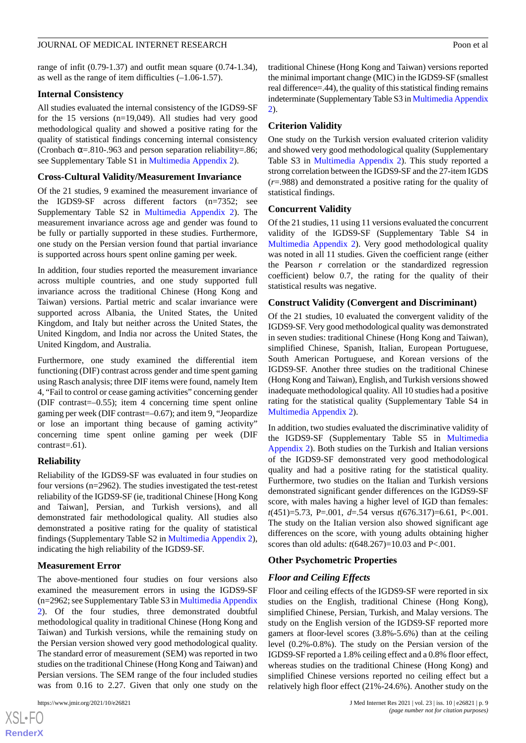range of infit (0.79-1.37) and outfit mean square (0.74-1.34), as well as the range of item difficulties (–1.06-1.57).

# **Internal Consistency**

All studies evaluated the internal consistency of the IGDS9-SF for the 15 versions (n=19,049). All studies had very good methodological quality and showed a positive rating for the quality of statistical findings concerning internal consistency (Cronbach  $\alpha$ =.810-.963 and person separation reliability=.86; see Supplementary Table S1 in [Multimedia Appendix 2\)](#page-11-5).

# **Cross-Cultural Validity/Measurement Invariance**

Of the 21 studies, 9 examined the measurement invariance of the IGDS9-SF across different factors (n=7352; see Supplementary Table S2 in [Multimedia Appendix 2](#page-11-5)). The measurement invariance across age and gender was found to be fully or partially supported in these studies. Furthermore, one study on the Persian version found that partial invariance is supported across hours spent online gaming per week.

In addition, four studies reported the measurement invariance across multiple countries, and one study supported full invariance across the traditional Chinese (Hong Kong and Taiwan) versions. Partial metric and scalar invariance were supported across Albania, the United States, the United Kingdom, and Italy but neither across the United States, the United Kingdom, and India nor across the United States, the United Kingdom, and Australia.

Furthermore, one study examined the differential item functioning (DIF) contrast across gender and time spent gaming using Rasch analysis; three DIF items were found, namely Item 4, "Fail to control or cease gaming activities" concerning gender (DIF contrast=–0.55); item 4 concerning time spent online gaming per week (DIF contrast=–0.67); and item 9, "Jeopardize or lose an important thing because of gaming activity" concerning time spent online gaming per week (DIF contrast=.61).

# **Reliability**

Reliability of the IGDS9-SF was evaluated in four studies on four versions (n=2962). The studies investigated the test-retest reliability of the IGDS9-SF (ie, traditional Chinese [Hong Kong and Taiwan], Persian, and Turkish versions), and all demonstrated fair methodological quality. All studies also demonstrated a positive rating for the quality of statistical findings (Supplementary Table S2 in [Multimedia Appendix 2\)](#page-11-5), indicating the high reliability of the IGDS9-SF.

# **Measurement Error**

The above-mentioned four studies on four versions also examined the measurement errors in using the IGDS9-SF (n=2962; see Supplementary Table S3 in [Multimedia Appendix](#page-11-5) [2\)](#page-11-5). Of the four studies, three demonstrated doubtful methodological quality in traditional Chinese (Hong Kong and Taiwan) and Turkish versions, while the remaining study on the Persian version showed very good methodological quality. The standard error of measurement (SEM) was reported in two studies on the traditional Chinese (Hong Kong and Taiwan) and Persian versions. The SEM range of the four included studies was from 0.16 to 2.27. Given that only one study on the

[XSL](http://www.w3.org/Style/XSL)•FO **[RenderX](http://www.renderx.com/)** traditional Chinese (Hong Kong and Taiwan) versions reported the minimal important change (MIC) in the IGDS9-SF (smallest real difference=.44), the quality of this statistical finding remains indeterminate (Supplementary Table S3 in [Multimedia Appendix](#page-11-5) [2\)](#page-11-5).

# **Criterion Validity**

One study on the Turkish version evaluated criterion validity and showed very good methodological quality (Supplementary Table S3 in [Multimedia Appendix 2](#page-11-5)). This study reported a strong correlation between the IGDS9-SF and the 27-item IGDS (*r*=.988) and demonstrated a positive rating for the quality of statistical findings.

### **Concurrent Validity**

Of the 21 studies, 11 using 11 versions evaluated the concurrent validity of the IGDS9-SF (Supplementary Table S4 in [Multimedia Appendix 2](#page-11-5)). Very good methodological quality was noted in all 11 studies. Given the coefficient range (either the Pearson *r* correlation or the standardized regression coefficient) below 0.7, the rating for the quality of their statistical results was negative.

# **Construct Validity (Convergent and Discriminant)**

Of the 21 studies, 10 evaluated the convergent validity of the IGDS9-SF. Very good methodological quality was demonstrated in seven studies: traditional Chinese (Hong Kong and Taiwan), simplified Chinese, Spanish, Italian, European Portuguese, South American Portuguese, and Korean versions of the IGDS9-SF. Another three studies on the traditional Chinese (Hong Kong and Taiwan), English, and Turkish versions showed inadequate methodological quality. All 10 studies had a positive rating for the statistical quality (Supplementary Table S4 in [Multimedia Appendix 2\)](#page-11-5).

In addition, two studies evaluated the discriminative validity of the IGDS9-SF (Supplementary Table S5 in [Multimedia](#page-11-5) [Appendix 2\)](#page-11-5). Both studies on the Turkish and Italian versions of the IGDS9-SF demonstrated very good methodological quality and had a positive rating for the statistical quality. Furthermore, two studies on the Italian and Turkish versions demonstrated significant gender differences on the IGDS9-SF score, with males having a higher level of IGD than females: *t*(451)=5.73, P=.001, *d*=.54 versus *t*(676.317)=6.61, P<.001. The study on the Italian version also showed significant age differences on the score, with young adults obtaining higher scores than old adults: *t*(648.267)=10.03 and P<.001.

# **Other Psychometric Properties**

# *Floor and Ceiling Effects*

Floor and ceiling effects of the IGDS9-SF were reported in six studies on the English, traditional Chinese (Hong Kong), simplified Chinese, Persian, Turkish, and Malay versions. The study on the English version of the IGDS9-SF reported more gamers at floor-level scores (3.8%-5.6%) than at the ceiling level (0.2%-0.8%). The study on the Persian version of the IGDS9-SF reported a 1.8% ceiling effect and a 0.8% floor effect, whereas studies on the traditional Chinese (Hong Kong) and simplified Chinese versions reported no ceiling effect but a relatively high floor effect (21%-24.6%). Another study on the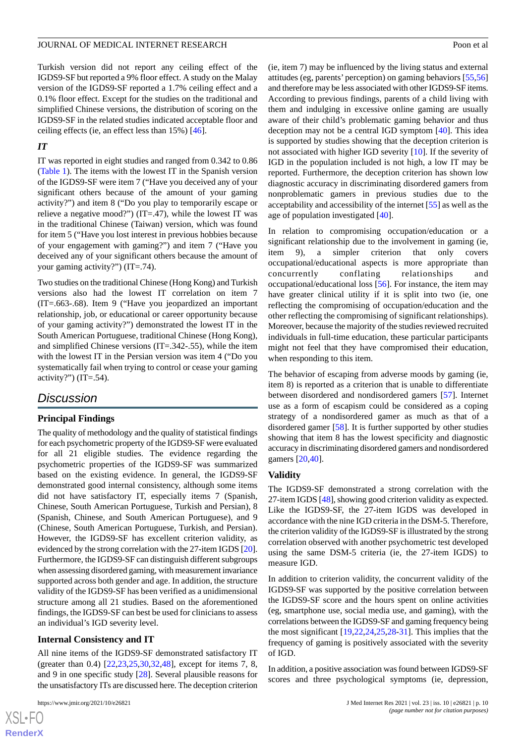Turkish version did not report any ceiling effect of the IGDS9-SF but reported a 9% floor effect. A study on the Malay version of the IGDS9-SF reported a 1.7% ceiling effect and a 0.1% floor effect. Except for the studies on the traditional and simplified Chinese versions, the distribution of scoring on the IGDS9-SF in the related studies indicated acceptable floor and ceiling effects (ie, an effect less than 15%) [\[46](#page-13-19)].

# *IT*

IT was reported in eight studies and ranged from 0.342 to 0.86 ([Table 1\)](#page-5-0). The items with the lowest IT in the Spanish version of the IGDS9-SF were item 7 ("Have you deceived any of your significant others because of the amount of your gaming activity?") and item 8 ("Do you play to temporarily escape or relieve a negative mood?") (IT=.47), while the lowest IT was in the traditional Chinese (Taiwan) version, which was found for item 5 ("Have you lost interest in previous hobbies because of your engagement with gaming?") and item 7 ("Have you deceived any of your significant others because the amount of your gaming activity?") (IT=.74).

Two studies on the traditional Chinese (Hong Kong) and Turkish versions also had the lowest IT correlation on item 7 (IT=.663-.68). Item 9 ("Have you jeopardized an important relationship, job, or educational or career opportunity because of your gaming activity?") demonstrated the lowest IT in the South American Portuguese, traditional Chinese (Hong Kong), and simplified Chinese versions (IT=.342-.55), while the item with the lowest IT in the Persian version was item 4 ("Do you systematically fail when trying to control or cease your gaming activity?")  $(T=54)$ .

# *Discussion*

# **Principal Findings**

The quality of methodology and the quality of statistical findings for each psychometric property of the IGDS9-SF were evaluated for all 21 eligible studies. The evidence regarding the psychometric properties of the IGDS9-SF was summarized based on the existing evidence. In general, the IGDS9-SF demonstrated good internal consistency, although some items did not have satisfactory IT, especially items 7 (Spanish, Chinese, South American Portuguese, Turkish and Persian), 8 (Spanish, Chinese, and South American Portuguese), and 9 (Chinese, South American Portuguese, Turkish, and Persian). However, the IGDS9-SF has excellent criterion validity, as evidenced by the strong correlation with the 27-item IGDS [\[20\]](#page-12-13). Furthermore, the IGDS9-SF can distinguish different subgroups when assessing disordered gaming, with measurement invariance supported across both gender and age. In addition, the structure validity of the IGDS9-SF has been verified as a unidimensional structure among all 21 studies. Based on the aforementioned findings, the IGDS9-SF can best be used for clinicians to assess an individual's IGD severity level.

# **Internal Consistency and IT**

All nine items of the IGDS9-SF demonstrated satisfactory IT (greater than 0.4) [[22](#page-12-15)[,23](#page-12-18),[25](#page-12-17)[,30](#page-13-4),[32](#page-13-6)[,48](#page-14-1)], except for items 7, 8, and 9 in one specific study [\[28](#page-13-2)]. Several plausible reasons for the unsatisfactory ITs are discussed here. The deception criterion

(ie, item 7) may be influenced by the living status and external attitudes (eg, parents' perception) on gaming behaviors [[55](#page-14-8)[,56](#page-14-9)] and therefore may be less associated with other IGDS9-SF items. According to previous findings, parents of a child living with them and indulging in excessive online gaming are usually aware of their child's problematic gaming behavior and thus deception may not be a central IGD symptom [\[40](#page-13-13)]. This idea is supported by studies showing that the deception criterion is not associated with higher IGD severity [\[10](#page-12-5)]. If the severity of IGD in the population included is not high, a low IT may be reported. Furthermore, the deception criterion has shown low diagnostic accuracy in discriminating disordered gamers from nonproblematic gamers in previous studies due to the acceptability and accessibility of the internet [\[55](#page-14-8)] as well as the age of population investigated [[40\]](#page-13-13).

In relation to compromising occupation/education or a significant relationship due to the involvement in gaming (ie, item 9), a simpler criterion that only covers occupational/educational aspects is more appropriate than concurrently conflating relationships and occupational/educational loss [[56\]](#page-14-9). For instance, the item may have greater clinical utility if it is split into two (ie, one reflecting the compromising of occupation/education and the other reflecting the compromising of significant relationships). Moreover, because the majority of the studies reviewed recruited individuals in full-time education, these particular participants might not feel that they have compromised their education, when responding to this item.

The behavior of escaping from adverse moods by gaming (ie, item 8) is reported as a criterion that is unable to differentiate between disordered and nondisordered gamers [\[57](#page-14-10)]. Internet use as a form of escapism could be considered as a coping strategy of a nondisordered gamer as much as that of a disordered gamer [[58\]](#page-14-11). It is further supported by other studies showing that item 8 has the lowest specificity and diagnostic accuracy in discriminating disordered gamers and nondisordered gamers [\[20](#page-12-13),[40\]](#page-13-13).

### **Validity**

The IGDS9-SF demonstrated a strong correlation with the 27-item IGDS [\[48](#page-14-1)], showing good criterion validity as expected. Like the IGDS9-SF, the 27-item IGDS was developed in accordance with the nine IGD criteria in the DSM-5. Therefore, the criterion validity of the IGDS9-SF is illustrated by the strong correlation observed with another psychometric test developed using the same DSM-5 criteria (ie, the 27-item IGDS) to measure IGD.

In addition to criterion validity, the concurrent validity of the IGDS9-SF was supported by the positive correlation between the IGDS9-SF score and the hours spent on online activities (eg, smartphone use, social media use, and gaming), with the correlations between the IGDS9-SF and gaming frequency being the most significant [[19,](#page-12-12)[22](#page-12-15),[24,](#page-12-16)[25](#page-12-17),[28-](#page-13-2)[31\]](#page-13-5). This implies that the frequency of gaming is positively associated with the severity of IGD.

In addition, a positive association was found between IGDS9-SF scores and three psychological symptoms (ie, depression,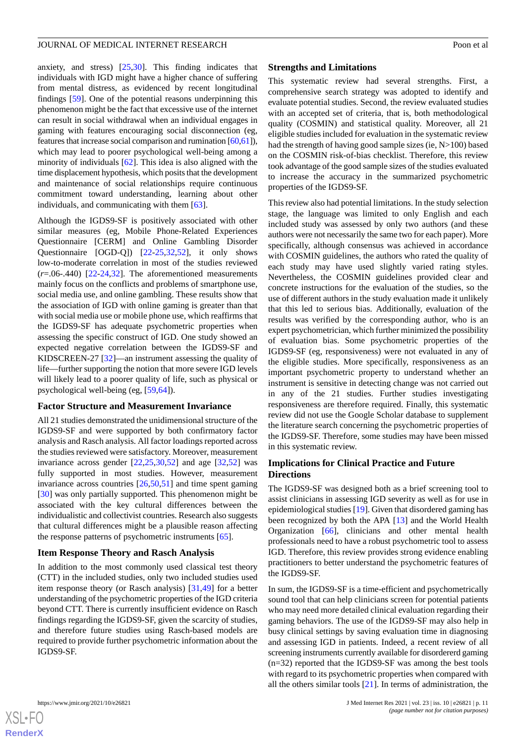anxiety, and stress) [\[25](#page-12-17),[30\]](#page-13-4). This finding indicates that individuals with IGD might have a higher chance of suffering from mental distress, as evidenced by recent longitudinal findings [[59\]](#page-14-12). One of the potential reasons underpinning this phenomenon might be the fact that excessive use of the internet can result in social withdrawal when an individual engages in gaming with features encouraging social disconnection (eg, features that increase social comparison and rumination [[60,](#page-14-13)[61\]](#page-14-14)), which may lead to poorer psychological well-being among a minority of individuals [[62\]](#page-14-15). This idea is also aligned with the time displacement hypothesis, which posits that the development and maintenance of social relationships require continuous commitment toward understanding, learning about other individuals, and communicating with them [[63\]](#page-14-16).

Although the IGDS9-SF is positively associated with other similar measures (eg, Mobile Phone-Related Experiences Questionnaire [CERM] and Online Gambling Disorder Questionnaire [OGD-Q]) [\[22](#page-12-15)-[25,](#page-12-17)[32](#page-13-6),[52\]](#page-14-3), it only shows low-to-moderate correlation in most of the studies reviewed (*r*=.06-.440) [\[22](#page-12-15)-[24,](#page-12-16)[32\]](#page-13-6). The aforementioned measurements mainly focus on the conflicts and problems of smartphone use, social media use, and online gambling. These results show that the association of IGD with online gaming is greater than that with social media use or mobile phone use, which reaffirms that the IGDS9-SF has adequate psychometric properties when assessing the specific construct of IGD. One study showed an expected negative correlation between the IGDS9-SF and KIDSCREEN-27 [[32\]](#page-13-6)—an instrument assessing the quality of life—further supporting the notion that more severe IGD levels will likely lead to a poorer quality of life, such as physical or psychological well-being (eg, [[59](#page-14-12)[,64](#page-14-17)]).

#### **Factor Structure and Measurement Invariance**

All 21 studies demonstrated the unidimensional structure of the IGDS9-SF and were supported by both confirmatory factor analysis and Rasch analysis. All factor loadings reported across the studies reviewed were satisfactory. Moreover, measurement invariance across gender  $[22,25,30,52]$  $[22,25,30,52]$  $[22,25,30,52]$  $[22,25,30,52]$  $[22,25,30,52]$  $[22,25,30,52]$  and age  $[32,52]$  $[32,52]$  was fully supported in most studies. However, measurement invariance across countries [[26,](#page-13-0)[50](#page-14-6),[51\]](#page-14-2) and time spent gaming [[30\]](#page-13-4) was only partially supported. This phenomenon might be associated with the key cultural differences between the individualistic and collectivist countries. Research also suggests that cultural differences might be a plausible reason affecting the response patterns of psychometric instruments [[65\]](#page-14-18).

# **Item Response Theory and Rasch Analysis**

In addition to the most commonly used classical test theory (CTT) in the included studies, only two included studies used item response theory (or Rasch analysis) [[31,](#page-13-5)[49](#page-14-5)] for a better understanding of the psychometric properties of the IGD criteria beyond CTT. There is currently insufficient evidence on Rasch findings regarding the IGDS9-SF, given the scarcity of studies, and therefore future studies using Rasch-based models are required to provide further psychometric information about the IGDS9-SF.

#### **Strengths and Limitations**

This systematic review had several strengths. First, a comprehensive search strategy was adopted to identify and evaluate potential studies. Second, the review evaluated studies with an accepted set of criteria, that is, both methodological quality (COSMIN) and statistical quality. Moreover, all 21 eligible studies included for evaluation in the systematic review had the strength of having good sample sizes (ie, N>100) based on the COSMIN risk-of-bias checklist. Therefore, this review took advantage of the good sample sizes of the studies evaluated to increase the accuracy in the summarized psychometric properties of the IGDS9-SF.

This review also had potential limitations. In the study selection stage, the language was limited to only English and each included study was assessed by only two authors (and these authors were not necessarily the same two for each paper). More specifically, although consensus was achieved in accordance with COSMIN guidelines, the authors who rated the quality of each study may have used slightly varied rating styles. Nevertheless, the COSMIN guidelines provided clear and concrete instructions for the evaluation of the studies, so the use of different authors in the study evaluation made it unlikely that this led to serious bias. Additionally, evaluation of the results was verified by the corresponding author, who is an expert psychometrician, which further minimized the possibility of evaluation bias. Some psychometric properties of the IGDS9-SF (eg, responsiveness) were not evaluated in any of the eligible studies. More specifically, responsiveness as an important psychometric property to understand whether an instrument is sensitive in detecting change was not carried out in any of the 21 studies. Further studies investigating responsiveness are therefore required. Finally, this systematic review did not use the Google Scholar database to supplement the literature search concerning the psychometric properties of the IGDS9-SF. Therefore, some studies may have been missed in this systematic review.

### **Implications for Clinical Practice and Future Directions**

The IGDS9-SF was designed both as a brief screening tool to assist clinicians in assessing IGD severity as well as for use in epidemiological studies [[19\]](#page-12-12). Given that disordered gaming has been recognized by both the APA [\[13](#page-12-8)] and the World Health Organization [[66\]](#page-14-19), clinicians and other mental health professionals need to have a robust psychometric tool to assess IGD. Therefore, this review provides strong evidence enabling practitioners to better understand the psychometric features of the IGDS9-SF.

In sum, the IGDS9-SF is a time-efficient and psychometrically sound tool that can help clinicians screen for potential patients who may need more detailed clinical evaluation regarding their gaming behaviors. The use of the IGDS9-SF may also help in busy clinical settings by saving evaluation time in diagnosing and assessing IGD in patients. Indeed, a recent review of all screening instruments currently available for disordererd gaming (n=32) reported that the IGDS9-SF was among the best tools with regard to its psychometric properties when compared with all the others similar tools [\[21](#page-12-14)]. In terms of administration, the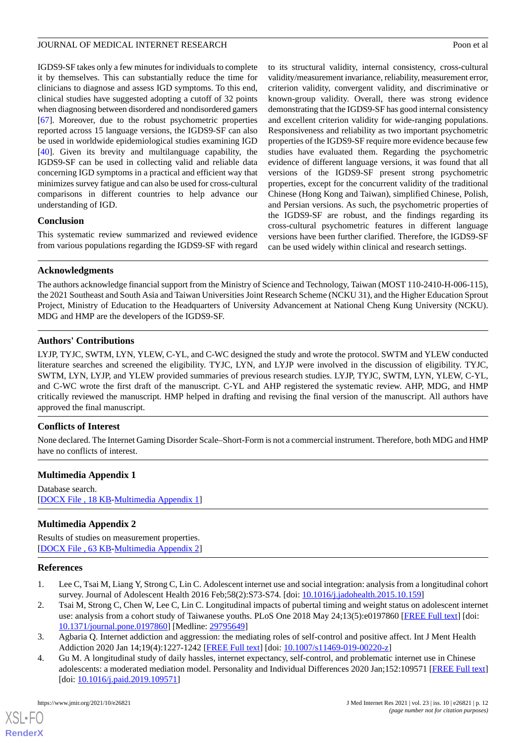IGDS9-SF takes only a few minutes for individuals to complete it by themselves. This can substantially reduce the time for clinicians to diagnose and assess IGD symptoms. To this end, clinical studies have suggested adopting a cutoff of 32 points when diagnosing between disordered and nondisordered gamers [[67\]](#page-14-20). Moreover, due to the robust psychometric properties reported across 15 language versions, the IGDS9-SF can also be used in worldwide epidemiological studies examining IGD [[40\]](#page-13-13). Given its brevity and multilanguage capability, the IGDS9-SF can be used in collecting valid and reliable data concerning IGD symptoms in a practical and efficient way that minimizes survey fatigue and can also be used for cross-cultural comparisons in different countries to help advance our understanding of IGD.

### **Conclusion**

This systematic review summarized and reviewed evidence from various populations regarding the IGDS9-SF with regard to its structural validity, internal consistency, cross-cultural validity/measurement invariance, reliability, measurement error, criterion validity, convergent validity, and discriminative or known-group validity. Overall, there was strong evidence demonstrating that the IGDS9-SF has good internal consistency and excellent criterion validity for wide-ranging populations. Responsiveness and reliability as two important psychometric properties of the IGDS9-SF require more evidence because few studies have evaluated them. Regarding the psychometric evidence of different language versions, it was found that all versions of the IGDS9-SF present strong psychometric properties, except for the concurrent validity of the traditional Chinese (Hong Kong and Taiwan), simplified Chinese, Polish, and Persian versions. As such, the psychometric properties of the IGDS9-SF are robust, and the findings regarding its cross-cultural psychometric features in different language versions have been further clarified. Therefore, the IGDS9-SF can be used widely within clinical and research settings.

# **Acknowledgments**

The authors acknowledge financial support from the Ministry of Science and Technology, Taiwan (MOST 110-2410-H-006-115), the 2021 Southeast and South Asia and Taiwan Universities Joint Research Scheme (NCKU 31), and the Higher Education Sprout Project, Ministry of Education to the Headquarters of University Advancement at National Cheng Kung University (NCKU). MDG and HMP are the developers of the IGDS9-SF.

# **Authors' Contributions**

LYJP, TYJC, SWTM, LYN, YLEW, C-YL, and C-WC designed the study and wrote the protocol. SWTM and YLEW conducted literature searches and screened the eligibility. TYJC, LYN, and LYJP were involved in the discussion of eligibility. TYJC, SWTM, LYN, LYJP, and YLEW provided summaries of previous research studies. LYJP, TYJC, SWTM, LYN, YLEW, C-YL, and C-WC wrote the first draft of the manuscript. C-YL and AHP registered the systematic review. AHP, MDG, and HMP critically reviewed the manuscript. HMP helped in drafting and revising the final version of the manuscript. All authors have approved the final manuscript.

# <span id="page-11-4"></span>**Conflicts of Interest**

None declared. The Internet Gaming Disorder Scale–Short-Form is not a commercial instrument. Therefore, both MDG and HMP have no conflicts of interest.

# <span id="page-11-5"></span>**Multimedia Appendix 1**

Database search. [[DOCX File , 18 KB](https://jmir.org/api/download?alt_name=jmir_v23i10e26821_app1.docx&filename=fc91ebf8d93e3f66d5308e35b1ad8a6d.docx)-[Multimedia Appendix 1\]](https://jmir.org/api/download?alt_name=jmir_v23i10e26821_app1.docx&filename=fc91ebf8d93e3f66d5308e35b1ad8a6d.docx)

# <span id="page-11-0"></span>**Multimedia Appendix 2**

<span id="page-11-1"></span>Results of studies on measurement properties. [[DOCX File , 63 KB](https://jmir.org/api/download?alt_name=jmir_v23i10e26821_app2.docx&filename=ec328a80eff2e72e6a648a0a7e190eba.docx)-[Multimedia Appendix 2\]](https://jmir.org/api/download?alt_name=jmir_v23i10e26821_app2.docx&filename=ec328a80eff2e72e6a648a0a7e190eba.docx)

### <span id="page-11-2"></span>**References**

- <span id="page-11-3"></span>1. Lee C, Tsai M, Liang Y, Strong C, Lin C. Adolescent internet use and social integration: analysis from a longitudinal cohort survey. Journal of Adolescent Health 2016 Feb;58(2):S73-S74. [doi: [10.1016/j.jadohealth.2015.10.159\]](http://dx.doi.org/10.1016/j.jadohealth.2015.10.159)
- 2. Tsai M, Strong C, Chen W, Lee C, Lin C. Longitudinal impacts of pubertal timing and weight status on adolescent internet use: analysis from a cohort study of Taiwanese youths. PLoS One 2018 May 24;13(5):e0197860 [[FREE Full text\]](https://dx.plos.org/10.1371/journal.pone.0197860) [doi: [10.1371/journal.pone.0197860\]](http://dx.doi.org/10.1371/journal.pone.0197860) [Medline: [29795649](http://www.ncbi.nlm.nih.gov/entrez/query.fcgi?cmd=Retrieve&db=PubMed&list_uids=29795649&dopt=Abstract)]
- 3. Agbaria Q. Internet addiction and aggression: the mediating roles of self-control and positive affect. Int J Ment Health Addiction 2020 Jan 14;19(4):1227-1242 [[FREE Full text](https://doi.org/10.1007/s11469-019-00220-z)] [doi: [10.1007/s11469-019-00220-z\]](http://dx.doi.org/10.1007/s11469-019-00220-z)
- 4. Gu M. A longitudinal study of daily hassles, internet expectancy, self-control, and problematic internet use in Chinese adolescents: a moderated mediation model. Personality and Individual Differences 2020 Jan;152:109571 [\[FREE Full text](https://doi.org/10.1016/j.paid.2019.109571)] [doi: [10.1016/j.paid.2019.109571\]](http://dx.doi.org/10.1016/j.paid.2019.109571)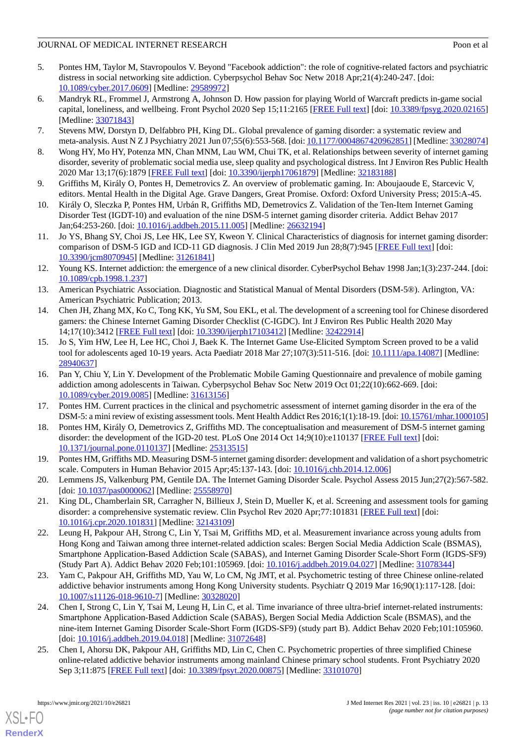# JOURNAL OF MEDICAL INTERNET RESEARCH POOP POOP CONTROL INTERNET RESEARCH

- <span id="page-12-0"></span>5. Pontes HM, Taylor M, Stavropoulos V. Beyond "Facebook addiction": the role of cognitive-related factors and psychiatric distress in social networking site addiction. Cyberpsychol Behav Soc Netw 2018 Apr;21(4):240-247. [doi: [10.1089/cyber.2017.0609](http://dx.doi.org/10.1089/cyber.2017.0609)] [Medline: [29589972](http://www.ncbi.nlm.nih.gov/entrez/query.fcgi?cmd=Retrieve&db=PubMed&list_uids=29589972&dopt=Abstract)]
- <span id="page-12-1"></span>6. Mandryk RL, Frommel J, Armstrong A, Johnson D. How passion for playing World of Warcraft predicts in-game social capital, loneliness, and wellbeing. Front Psychol 2020 Sep 15;11:2165 [\[FREE Full text\]](https://doi.org/10.3389/fpsyg.2020.02165) [doi: [10.3389/fpsyg.2020.02165](http://dx.doi.org/10.3389/fpsyg.2020.02165)] [Medline: [33071843](http://www.ncbi.nlm.nih.gov/entrez/query.fcgi?cmd=Retrieve&db=PubMed&list_uids=33071843&dopt=Abstract)]
- <span id="page-12-3"></span><span id="page-12-2"></span>7. Stevens MW, Dorstyn D, Delfabbro PH, King DL. Global prevalence of gaming disorder: a systematic review and meta-analysis. Aust N Z J Psychiatry 2021 Jun 07;55(6):553-568. [doi: [10.1177/0004867420962851\]](http://dx.doi.org/10.1177/0004867420962851) [Medline: [33028074](http://www.ncbi.nlm.nih.gov/entrez/query.fcgi?cmd=Retrieve&db=PubMed&list_uids=33028074&dopt=Abstract)]
- <span id="page-12-4"></span>8. Wong HY, Mo HY, Potenza MN, Chan MNM, Lau WM, Chui TK, et al. Relationships between severity of internet gaming disorder, severity of problematic social media use, sleep quality and psychological distress. Int J Environ Res Public Health 2020 Mar 13;17(6):1879 [\[FREE Full text\]](https://www.mdpi.com/resolver?pii=ijerph17061879) [doi: [10.3390/ijerph17061879\]](http://dx.doi.org/10.3390/ijerph17061879) [Medline: [32183188](http://www.ncbi.nlm.nih.gov/entrez/query.fcgi?cmd=Retrieve&db=PubMed&list_uids=32183188&dopt=Abstract)]
- <span id="page-12-5"></span>9. Griffiths M, Király O, Pontes H, Demetrovics Z. An overview of problematic gaming. In: Aboujaoude E, Starcevic V, editors. Mental Health in the Digital Age. Grave Dangers, Great Promise. Oxford: Oxford University Press; 2015:A-45.
- <span id="page-12-6"></span>10. Király O, Sleczka P, Pontes HM, Urbán R, Griffiths MD, Demetrovics Z. Validation of the Ten-Item Internet Gaming Disorder Test (IGDT-10) and evaluation of the nine DSM-5 internet gaming disorder criteria. Addict Behav 2017 Jan;64:253-260. [doi: [10.1016/j.addbeh.2015.11.005](http://dx.doi.org/10.1016/j.addbeh.2015.11.005)] [Medline: [26632194\]](http://www.ncbi.nlm.nih.gov/entrez/query.fcgi?cmd=Retrieve&db=PubMed&list_uids=26632194&dopt=Abstract)
- <span id="page-12-7"></span>11. Jo YS, Bhang SY, Choi JS, Lee HK, Lee SY, Kweon Y. Clinical Characteristics of diagnosis for internet gaming disorder: comparison of DSM-5 IGD and ICD-11 GD diagnosis. J Clin Med 2019 Jun 28;8(7):945 [[FREE Full text](https://www.mdpi.com/resolver?pii=jcm8070945)] [doi: [10.3390/jcm8070945\]](http://dx.doi.org/10.3390/jcm8070945) [Medline: [31261841\]](http://www.ncbi.nlm.nih.gov/entrez/query.fcgi?cmd=Retrieve&db=PubMed&list_uids=31261841&dopt=Abstract)
- <span id="page-12-8"></span>12. Young KS. Internet addiction: the emergence of a new clinical disorder. CyberPsychol Behav 1998 Jan;1(3):237-244. [doi: [10.1089/cpb.1998.1.237](http://dx.doi.org/10.1089/cpb.1998.1.237)]
- <span id="page-12-9"></span>13. American Psychiatric Association. Diagnostic and Statistical Manual of Mental Disorders (DSM-5®). Arlington, VA: American Psychiatric Publication; 2013.
- 14. Chen JH, Zhang MX, Ko C, Tong KK, Yu SM, Sou EKL, et al. The development of a screening tool for Chinese disordered gamers: the Chinese Internet Gaming Disorder Checklist (C-IGDC). Int J Environ Res Public Health 2020 May 14;17(10):3412 [[FREE Full text\]](https://www.mdpi.com/resolver?pii=ijerph17103412) [doi: [10.3390/ijerph17103412\]](http://dx.doi.org/10.3390/ijerph17103412) [Medline: [32422914\]](http://www.ncbi.nlm.nih.gov/entrez/query.fcgi?cmd=Retrieve&db=PubMed&list_uids=32422914&dopt=Abstract)
- 15. Jo S, Yim HW, Lee H, Lee HC, Choi J, Baek K. The Internet Game Use-Elicited Symptom Screen proved to be a valid tool for adolescents aged 10-19 years. Acta Paediatr 2018 Mar 27;107(3):511-516. [doi: [10.1111/apa.14087](http://dx.doi.org/10.1111/apa.14087)] [Medline: [28940637](http://www.ncbi.nlm.nih.gov/entrez/query.fcgi?cmd=Retrieve&db=PubMed&list_uids=28940637&dopt=Abstract)]
- <span id="page-12-11"></span><span id="page-12-10"></span>16. Pan Y, Chiu Y, Lin Y. Development of the Problematic Mobile Gaming Questionnaire and prevalence of mobile gaming addiction among adolescents in Taiwan. Cyberpsychol Behav Soc Netw 2019 Oct 01;22(10):662-669. [doi: [10.1089/cyber.2019.0085](http://dx.doi.org/10.1089/cyber.2019.0085)] [Medline: [31613156](http://www.ncbi.nlm.nih.gov/entrez/query.fcgi?cmd=Retrieve&db=PubMed&list_uids=31613156&dopt=Abstract)]
- <span id="page-12-12"></span>17. Pontes HM. Current practices in the clinical and psychometric assessment of internet gaming disorder in the era of the DSM-5: a mini review of existing assessment tools. Ment Health Addict Res 2016;1(1):18-19. [doi: [10.15761/mhar.1000105\]](http://dx.doi.org/10.15761/mhar.1000105)
- <span id="page-12-13"></span>18. Pontes HM, Király O, Demetrovics Z, Griffiths MD. The conceptualisation and measurement of DSM-5 internet gaming disorder: the development of the IGD-20 test. PLoS One 2014 Oct 14;9(10):e110137 [[FREE Full text](https://dx.plos.org/10.1371/journal.pone.0110137)] [doi: [10.1371/journal.pone.0110137\]](http://dx.doi.org/10.1371/journal.pone.0110137) [Medline: [25313515](http://www.ncbi.nlm.nih.gov/entrez/query.fcgi?cmd=Retrieve&db=PubMed&list_uids=25313515&dopt=Abstract)]
- <span id="page-12-14"></span>19. Pontes HM, Griffiths MD. Measuring DSM-5 internet gaming disorder: development and validation of a short psychometric scale. Computers in Human Behavior 2015 Apr;45:137-143. [doi: [10.1016/j.chb.2014.12.006\]](http://dx.doi.org/10.1016/j.chb.2014.12.006)
- <span id="page-12-15"></span>20. Lemmens JS, Valkenburg PM, Gentile DA. The Internet Gaming Disorder Scale. Psychol Assess 2015 Jun;27(2):567-582. [doi: [10.1037/pas0000062\]](http://dx.doi.org/10.1037/pas0000062) [Medline: [25558970](http://www.ncbi.nlm.nih.gov/entrez/query.fcgi?cmd=Retrieve&db=PubMed&list_uids=25558970&dopt=Abstract)]
- 21. King DL, Chamberlain SR, Carragher N, Billieux J, Stein D, Mueller K, et al. Screening and assessment tools for gaming disorder: a comprehensive systematic review. Clin Psychol Rev 2020 Apr;77:101831 [[FREE Full text](https://linkinghub.elsevier.com/retrieve/pii/S0272-7358(20)30019-2)] [doi: [10.1016/j.cpr.2020.101831](http://dx.doi.org/10.1016/j.cpr.2020.101831)] [Medline: [32143109](http://www.ncbi.nlm.nih.gov/entrez/query.fcgi?cmd=Retrieve&db=PubMed&list_uids=32143109&dopt=Abstract)]
- <span id="page-12-18"></span><span id="page-12-16"></span>22. Leung H, Pakpour AH, Strong C, Lin Y, Tsai M, Griffiths MD, et al. Measurement invariance across young adults from Hong Kong and Taiwan among three internet-related addiction scales: Bergen Social Media Addiction Scale (BSMAS), Smartphone Application-Based Addiction Scale (SABAS), and Internet Gaming Disorder Scale-Short Form (IGDS-SF9) (Study Part A). Addict Behav 2020 Feb;101:105969. [doi: [10.1016/j.addbeh.2019.04.027\]](http://dx.doi.org/10.1016/j.addbeh.2019.04.027) [Medline: [31078344](http://www.ncbi.nlm.nih.gov/entrez/query.fcgi?cmd=Retrieve&db=PubMed&list_uids=31078344&dopt=Abstract)]
- <span id="page-12-17"></span>23. Yam C, Pakpour AH, Griffiths MD, Yau W, Lo CM, Ng JMT, et al. Psychometric testing of three Chinese online-related addictive behavior instruments among Hong Kong University students. Psychiatr Q 2019 Mar 16;90(1):117-128. [doi: [10.1007/s11126-018-9610-7\]](http://dx.doi.org/10.1007/s11126-018-9610-7) [Medline: [30328020](http://www.ncbi.nlm.nih.gov/entrez/query.fcgi?cmd=Retrieve&db=PubMed&list_uids=30328020&dopt=Abstract)]
- 24. Chen I, Strong C, Lin Y, Tsai M, Leung H, Lin C, et al. Time invariance of three ultra-brief internet-related instruments: Smartphone Application-Based Addiction Scale (SABAS), Bergen Social Media Addiction Scale (BSMAS), and the nine-item Internet Gaming Disorder Scale-Short Form (IGDS-SF9) (study part B). Addict Behav 2020 Feb;101:105960. [doi: [10.1016/j.addbeh.2019.04.018\]](http://dx.doi.org/10.1016/j.addbeh.2019.04.018) [Medline: [31072648\]](http://www.ncbi.nlm.nih.gov/entrez/query.fcgi?cmd=Retrieve&db=PubMed&list_uids=31072648&dopt=Abstract)
- 25. Chen I, Ahorsu DK, Pakpour AH, Griffiths MD, Lin C, Chen C. Psychometric properties of three simplified Chinese online-related addictive behavior instruments among mainland Chinese primary school students. Front Psychiatry 2020 Sep 3;11:875 [\[FREE Full text\]](https://doi.org/10.3389/fpsyt.2020.00875) [doi: [10.3389/fpsyt.2020.00875](http://dx.doi.org/10.3389/fpsyt.2020.00875)] [Medline: [33101070](http://www.ncbi.nlm.nih.gov/entrez/query.fcgi?cmd=Retrieve&db=PubMed&list_uids=33101070&dopt=Abstract)]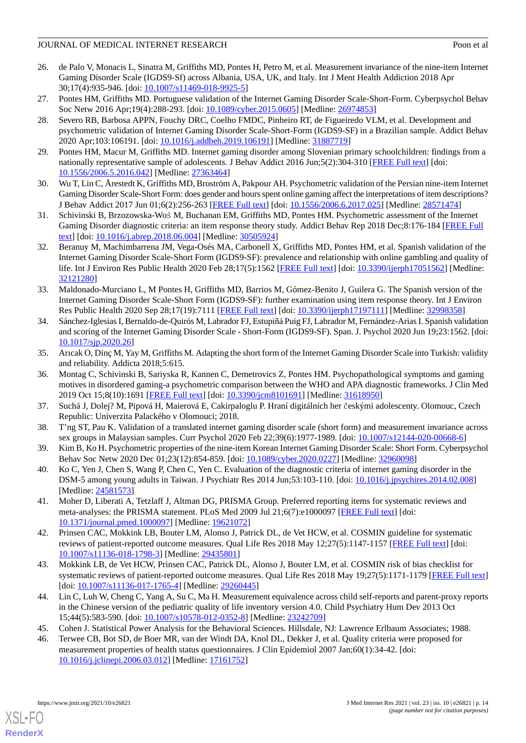# JOURNAL OF MEDICAL INTERNET RESEARCH POOP POOP CONTROL INTERNET RESEARCH

- <span id="page-13-0"></span>26. de Palo V, Monacis L, Sinatra M, Griffiths MD, Pontes H, Petro M, et al. Measurement invariance of the nine-item Internet Gaming Disorder Scale (IGDS9-Sf) across Albania, USA, UK, and Italy. Int J Ment Health Addiction 2018 Apr 30;17(4):935-946. [doi: [10.1007/s11469-018-9925-5\]](http://dx.doi.org/10.1007/s11469-018-9925-5)
- <span id="page-13-2"></span><span id="page-13-1"></span>27. Pontes HM, Griffiths MD. Portuguese validation of the Internet Gaming Disorder Scale-Short-Form. Cyberpsychol Behav Soc Netw 2016 Apr;19(4):288-293. [doi: [10.1089/cyber.2015.0605\]](http://dx.doi.org/10.1089/cyber.2015.0605) [Medline: [26974853\]](http://www.ncbi.nlm.nih.gov/entrez/query.fcgi?cmd=Retrieve&db=PubMed&list_uids=26974853&dopt=Abstract)
- 28. Severo RB, Barbosa APPN, Fouchy DRC, Coelho FMDC, Pinheiro RT, de Figueiredo VLM, et al. Development and psychometric validation of Internet Gaming Disorder Scale-Short-Form (IGDS9-SF) in a Brazilian sample. Addict Behav 2020 Apr;103:106191. [doi: [10.1016/j.addbeh.2019.106191\]](http://dx.doi.org/10.1016/j.addbeh.2019.106191) [Medline: [31887719\]](http://www.ncbi.nlm.nih.gov/entrez/query.fcgi?cmd=Retrieve&db=PubMed&list_uids=31887719&dopt=Abstract)
- <span id="page-13-4"></span><span id="page-13-3"></span>29. Pontes HM, Macur M, Griffiths MD. Internet gaming disorder among Slovenian primary schoolchildren: findings from a nationally representative sample of adolescents. J Behav Addict 2016 Jun;5(2):304-310 [[FREE Full text](http://europepmc.org/abstract/MED/27363464)] [doi: [10.1556/2006.5.2016.042](http://dx.doi.org/10.1556/2006.5.2016.042)] [Medline: [27363464](http://www.ncbi.nlm.nih.gov/entrez/query.fcgi?cmd=Retrieve&db=PubMed&list_uids=27363464&dopt=Abstract)]
- <span id="page-13-5"></span>30. Wu T, Lin C, Årestedt K, Griffiths MD, Broström A, Pakpour AH. Psychometric validation of the Persian nine-item Internet Gaming Disorder Scale-Short Form: does gender and hours spent online gaming affect the interpretations of item descriptions? J Behav Addict 2017 Jun 01;6(2):256-263 [[FREE Full text](http://europepmc.org/abstract/MED/28571474)] [doi: [10.1556/2006.6.2017.025](http://dx.doi.org/10.1556/2006.6.2017.025)] [Medline: [28571474\]](http://www.ncbi.nlm.nih.gov/entrez/query.fcgi?cmd=Retrieve&db=PubMed&list_uids=28571474&dopt=Abstract)
- <span id="page-13-6"></span>31. Schivinski B, Brzozowska-Woś M, Buchanan EM, Griffiths MD, Pontes HM. Psychometric assessment of the Internet Gaming Disorder diagnostic criteria: an item response theory study. Addict Behav Rep 2018 Dec;8:176-184 [\[FREE Full](https://linkinghub.elsevier.com/retrieve/pii/S2352-8532(18)30043-9) [text](https://linkinghub.elsevier.com/retrieve/pii/S2352-8532(18)30043-9)] [doi: [10.1016/j.abrep.2018.06.004\]](http://dx.doi.org/10.1016/j.abrep.2018.06.004) [Medline: [30505924\]](http://www.ncbi.nlm.nih.gov/entrez/query.fcgi?cmd=Retrieve&db=PubMed&list_uids=30505924&dopt=Abstract)
- 32. Beranuy M, Machimbarrena JM, Vega-Osés MA, Carbonell X, Griffiths MD, Pontes HM, et al. Spanish validation of the Internet Gaming Disorder Scale-Short Form (IGDS9-SF): prevalence and relationship with online gambling and quality of life. Int J Environ Res Public Health 2020 Feb 28;17(5):1562 [[FREE Full text](https://www.mdpi.com/resolver?pii=ijerph17051562)] [doi: [10.3390/ijerph17051562](http://dx.doi.org/10.3390/ijerph17051562)] [Medline: [32121280](http://www.ncbi.nlm.nih.gov/entrez/query.fcgi?cmd=Retrieve&db=PubMed&list_uids=32121280&dopt=Abstract)]
- <span id="page-13-7"></span>33. Maldonado-Murciano L, M Pontes H, Griffiths MD, Barrios M, Gómez-Benito J, Guilera G. The Spanish version of the Internet Gaming Disorder Scale-Short Form (IGDS9-SF): further examination using item response theory. Int J Environ Res Public Health 2020 Sep 28;17(19):7111 [\[FREE Full text\]](https://www.mdpi.com/resolver?pii=ijerph17197111) [doi: [10.3390/ijerph17197111\]](http://dx.doi.org/10.3390/ijerph17197111) [Medline: [32998358](http://www.ncbi.nlm.nih.gov/entrez/query.fcgi?cmd=Retrieve&db=PubMed&list_uids=32998358&dopt=Abstract)]
- <span id="page-13-9"></span><span id="page-13-8"></span>34. Sánchez-Iglesias I, Bernaldo-de-Quirós M, Labrador FJ, EstupiñáPuig FJ, Labrador M, Fernández-Arias I. Spanish validation and scoring of the Internet Gaming Disorder Scale - Short-Form (IGDS9-SF). Span. J. Psychol 2020 Jun 19;23:1562. [doi: [10.1017/sjp.2020.26](http://dx.doi.org/10.1017/sjp.2020.26)]
- 35. Arıcak O, Dinç M, Yay M, Griffiths M. Adapting the short form of the Internet Gaming Disorder Scale into Turkish: validity and reliability. Addicta 2018;5:615.
- <span id="page-13-11"></span><span id="page-13-10"></span>36. Montag C, Schivinski B, Sariyska R, Kannen C, Demetrovics Z, Pontes HM. Psychopathological symptoms and gaming motives in disordered gaming-a psychometric comparison between the WHO and APA diagnostic frameworks. J Clin Med 2019 Oct 15;8(10):1691 [\[FREE Full text](https://www.mdpi.com/resolver?pii=jcm8101691)] [doi: [10.3390/jcm8101691\]](http://dx.doi.org/10.3390/jcm8101691) [Medline: [31618950\]](http://www.ncbi.nlm.nih.gov/entrez/query.fcgi?cmd=Retrieve&db=PubMed&list_uids=31618950&dopt=Abstract)
- <span id="page-13-12"></span>37. Suchá J, Dolej? M, Pipová H, Maierová E, Cakirpaloglu P. Hraní digitálních her českými adolescenty. Olomouc, Czech Republic: Univerzita Palackého v Olomouci; 2018.
- <span id="page-13-13"></span>38. T'ng ST, Pau K. Validation of a translated internet gaming disorder scale (short form) and measurement invariance across sex groups in Malaysian samples. Curr Psychol 2020 Feb 22;39(6):1977-1989. [doi: [10.1007/s12144-020-00668-6\]](http://dx.doi.org/10.1007/s12144-020-00668-6)
- <span id="page-13-14"></span>39. Kim B, Ko H. Psychometric properties of the nine-item Korean Internet Gaming Disorder Scale: Short Form. Cyberpsychol Behav Soc Netw 2020 Dec 01;23(12):854-859. [doi: [10.1089/cyber.2020.0227\]](http://dx.doi.org/10.1089/cyber.2020.0227) [Medline: [32960098\]](http://www.ncbi.nlm.nih.gov/entrez/query.fcgi?cmd=Retrieve&db=PubMed&list_uids=32960098&dopt=Abstract)
- <span id="page-13-15"></span>40. Ko C, Yen J, Chen S, Wang P, Chen C, Yen C. Evaluation of the diagnostic criteria of internet gaming disorder in the DSM-5 among young adults in Taiwan. J Psychiatr Res 2014 Jun;53:103-110. [doi: [10.1016/j.jpsychires.2014.02.008\]](http://dx.doi.org/10.1016/j.jpsychires.2014.02.008) [Medline: [24581573](http://www.ncbi.nlm.nih.gov/entrez/query.fcgi?cmd=Retrieve&db=PubMed&list_uids=24581573&dopt=Abstract)]
- <span id="page-13-16"></span>41. Moher D, Liberati A, Tetzlaff J, Altman DG, PRISMA Group. Preferred reporting items for systematic reviews and meta-analyses: the PRISMA statement. PLoS Med 2009 Jul 21;6(7):e1000097 [[FREE Full text](https://dx.plos.org/10.1371/journal.pmed.1000097)] [doi: [10.1371/journal.pmed.1000097](http://dx.doi.org/10.1371/journal.pmed.1000097)] [Medline: [19621072](http://www.ncbi.nlm.nih.gov/entrez/query.fcgi?cmd=Retrieve&db=PubMed&list_uids=19621072&dopt=Abstract)]
- <span id="page-13-17"></span>42. Prinsen CAC, Mokkink LB, Bouter LM, Alonso J, Patrick DL, de Vet HCW, et al. COSMIN guideline for systematic reviews of patient-reported outcome measures. Qual Life Res 2018 May 12;27(5):1147-1157 [\[FREE Full text\]](http://europepmc.org/abstract/MED/29435801) [doi: [10.1007/s11136-018-1798-3\]](http://dx.doi.org/10.1007/s11136-018-1798-3) [Medline: [29435801](http://www.ncbi.nlm.nih.gov/entrez/query.fcgi?cmd=Retrieve&db=PubMed&list_uids=29435801&dopt=Abstract)]
- <span id="page-13-19"></span><span id="page-13-18"></span>43. Mokkink LB, de Vet HCW, Prinsen CAC, Patrick DL, Alonso J, Bouter LM, et al. COSMIN risk of bias checklist for systematic reviews of patient-reported outcome measures. Qual Life Res 2018 May 19;27(5):1171-1179 [[FREE Full text](http://europepmc.org/abstract/MED/29260445)] [doi: [10.1007/s11136-017-1765-4](http://dx.doi.org/10.1007/s11136-017-1765-4)] [Medline: [29260445\]](http://www.ncbi.nlm.nih.gov/entrez/query.fcgi?cmd=Retrieve&db=PubMed&list_uids=29260445&dopt=Abstract)
- 44. Lin C, Luh W, Cheng C, Yang A, Su C, Ma H. Measurement equivalence across child self-reports and parent-proxy reports in the Chinese version of the pediatric quality of life inventory version 4.0. Child Psychiatry Hum Dev 2013 Oct 15;44(5):583-590. [doi: [10.1007/s10578-012-0352-8\]](http://dx.doi.org/10.1007/s10578-012-0352-8) [Medline: [23242709](http://www.ncbi.nlm.nih.gov/entrez/query.fcgi?cmd=Retrieve&db=PubMed&list_uids=23242709&dopt=Abstract)]
- 45. Cohen J. Statistical Power Analysis for the Behavioral Sciences. Hillsdale, NJ: Lawrence Erlbaum Associates; 1988.
- 46. Terwee CB, Bot SD, de Boer MR, van der Windt DA, Knol DL, Dekker J, et al. Quality criteria were proposed for measurement properties of health status questionnaires. J Clin Epidemiol 2007 Jan;60(1):34-42. [doi: [10.1016/j.jclinepi.2006.03.012\]](http://dx.doi.org/10.1016/j.jclinepi.2006.03.012) [Medline: [17161752](http://www.ncbi.nlm.nih.gov/entrez/query.fcgi?cmd=Retrieve&db=PubMed&list_uids=17161752&dopt=Abstract)]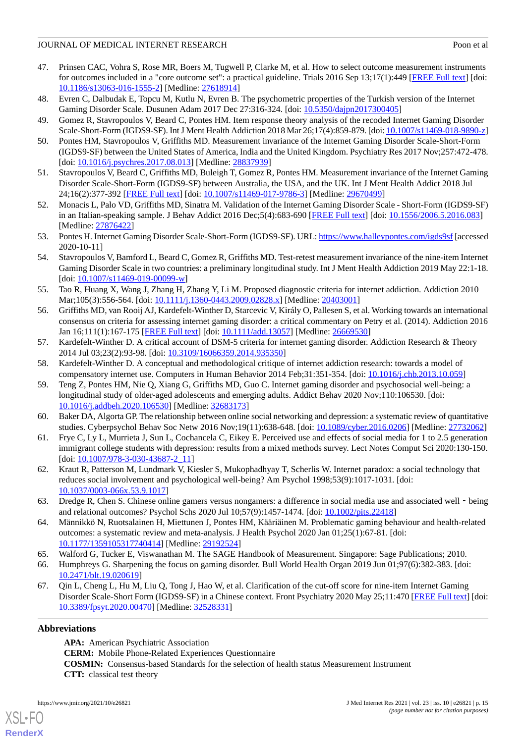### JOURNAL OF MEDICAL INTERNET RESEARCH POOP POOP CONTROL INTERNET RESEARCH

- <span id="page-14-0"></span>47. Prinsen CAC, Vohra S, Rose MR, Boers M, Tugwell P, Clarke M, et al. How to select outcome measurement instruments for outcomes included in a "core outcome set": a practical guideline. Trials 2016 Sep 13;17(1):449 [\[FREE Full text\]](https://trialsjournal.biomedcentral.com/articles/10.1186/s13063-016-1555-2) [doi: [10.1186/s13063-016-1555-2\]](http://dx.doi.org/10.1186/s13063-016-1555-2) [Medline: [27618914](http://www.ncbi.nlm.nih.gov/entrez/query.fcgi?cmd=Retrieve&db=PubMed&list_uids=27618914&dopt=Abstract)]
- <span id="page-14-5"></span><span id="page-14-1"></span>48. Evren C, Dalbudak E, Topcu M, Kutlu N, Evren B. The psychometric properties of the Turkish version of the Internet Gaming Disorder Scale. Dusunen Adam 2017 Dec 27:316-324. [doi: [10.5350/dajpn2017300405\]](http://dx.doi.org/10.5350/dajpn2017300405)
- <span id="page-14-6"></span>49. Gomez R, Stavropoulos V, Beard C, Pontes HM. Item response theory analysis of the recoded Internet Gaming Disorder Scale-Short-Form (IGDS9-SF). Int J Ment Health Addiction 2018 Mar 26;17(4):859-879. [doi: [10.1007/s11469-018-9890-z\]](http://dx.doi.org/10.1007/s11469-018-9890-z)
- <span id="page-14-2"></span>50. Pontes HM, Stavropoulos V, Griffiths MD. Measurement invariance of the Internet Gaming Disorder Scale-Short-Form (IGDS9-SF) between the United States of America, India and the United Kingdom. Psychiatry Res 2017 Nov;257:472-478. [doi: [10.1016/j.psychres.2017.08.013\]](http://dx.doi.org/10.1016/j.psychres.2017.08.013) [Medline: [28837939\]](http://www.ncbi.nlm.nih.gov/entrez/query.fcgi?cmd=Retrieve&db=PubMed&list_uids=28837939&dopt=Abstract)
- <span id="page-14-3"></span>51. Stavropoulos V, Beard C, Griffiths MD, Buleigh T, Gomez R, Pontes HM. Measurement invariance of the Internet Gaming Disorder Scale-Short-Form (IGDS9-SF) between Australia, the USA, and the UK. Int J Ment Health Addict 2018 Jul 24;16(2):377-392 [[FREE Full text](http://europepmc.org/abstract/MED/29670499)] [doi: [10.1007/s11469-017-9786-3\]](http://dx.doi.org/10.1007/s11469-017-9786-3) [Medline: [29670499](http://www.ncbi.nlm.nih.gov/entrez/query.fcgi?cmd=Retrieve&db=PubMed&list_uids=29670499&dopt=Abstract)]
- <span id="page-14-4"></span>52. Monacis L, Palo VD, Griffiths MD, Sinatra M. Validation of the Internet Gaming Disorder Scale - Short-Form (IGDS9-SF) in an Italian-speaking sample. J Behav Addict 2016 Dec;5(4):683-690 [[FREE Full text](http://europepmc.org/abstract/MED/27876422)] [doi: [10.1556/2006.5.2016.083](http://dx.doi.org/10.1556/2006.5.2016.083)] [Medline: [27876422](http://www.ncbi.nlm.nih.gov/entrez/query.fcgi?cmd=Retrieve&db=PubMed&list_uids=27876422&dopt=Abstract)]
- <span id="page-14-7"></span>53. Pontes H. Internet Gaming Disorder Scale-Short-Form (IGDS9-SF). URL:<https://www.halleypontes.com/igds9sf> [accessed 2020-10-11]
- <span id="page-14-8"></span>54. Stavropoulos V, Bamford L, Beard C, Gomez R, Griffiths MD. Test-retest measurement invariance of the nine-item Internet Gaming Disorder Scale in two countries: a preliminary longitudinal study. Int J Ment Health Addiction 2019 May 22:1-18. [doi: [10.1007/s11469-019-00099-w](http://dx.doi.org/10.1007/s11469-019-00099-w)]
- <span id="page-14-9"></span>55. Tao R, Huang X, Wang J, Zhang H, Zhang Y, Li M. Proposed diagnostic criteria for internet addiction. Addiction 2010 Mar;105(3):556-564. [doi: [10.1111/j.1360-0443.2009.02828.x](http://dx.doi.org/10.1111/j.1360-0443.2009.02828.x)] [Medline: [20403001](http://www.ncbi.nlm.nih.gov/entrez/query.fcgi?cmd=Retrieve&db=PubMed&list_uids=20403001&dopt=Abstract)]
- <span id="page-14-10"></span>56. Griffiths MD, van Rooij AJ, Kardefelt-Winther D, Starcevic V, Király O, Pallesen S, et al. Working towards an international consensus on criteria for assessing internet gaming disorder: a critical commentary on Petry et al. (2014). Addiction 2016 Jan 16;111(1):167-175 [[FREE Full text](http://europepmc.org/abstract/MED/26669530)] [doi: [10.1111/add.13057\]](http://dx.doi.org/10.1111/add.13057) [Medline: [26669530](http://www.ncbi.nlm.nih.gov/entrez/query.fcgi?cmd=Retrieve&db=PubMed&list_uids=26669530&dopt=Abstract)]
- <span id="page-14-12"></span><span id="page-14-11"></span>57. Kardefelt-Winther D. A critical account of DSM-5 criteria for internet gaming disorder. Addiction Research & Theory 2014 Jul 03;23(2):93-98. [doi: [10.3109/16066359.2014.935350](http://dx.doi.org/10.3109/16066359.2014.935350)]
- 58. Kardefelt-Winther D. A conceptual and methodological critique of internet addiction research: towards a model of compensatory internet use. Computers in Human Behavior 2014 Feb;31:351-354. [doi: [10.1016/j.chb.2013.10.059\]](http://dx.doi.org/10.1016/j.chb.2013.10.059)
- <span id="page-14-14"></span><span id="page-14-13"></span>59. Teng Z, Pontes HM, Nie Q, Xiang G, Griffiths MD, Guo C. Internet gaming disorder and psychosocial well-being: a longitudinal study of older-aged adolescents and emerging adults. Addict Behav 2020 Nov;110:106530. [doi: [10.1016/j.addbeh.2020.106530\]](http://dx.doi.org/10.1016/j.addbeh.2020.106530) [Medline: [32683173\]](http://www.ncbi.nlm.nih.gov/entrez/query.fcgi?cmd=Retrieve&db=PubMed&list_uids=32683173&dopt=Abstract)
- <span id="page-14-15"></span>60. Baker DA, Algorta GP. The relationship between online social networking and depression: a systematic review of quantitative studies. Cyberpsychol Behav Soc Netw 2016 Nov;19(11):638-648. [doi: [10.1089/cyber.2016.0206](http://dx.doi.org/10.1089/cyber.2016.0206)] [Medline: [27732062\]](http://www.ncbi.nlm.nih.gov/entrez/query.fcgi?cmd=Retrieve&db=PubMed&list_uids=27732062&dopt=Abstract)
- <span id="page-14-16"></span>61. Frye C, Ly L, Murrieta J, Sun L, Cochancela C, Eikey E. Perceived use and effects of social media for 1 to 2.5 generation immigrant college students with depression: results from a mixed methods survey. Lect Notes Comput Sci 2020:130-150. [doi: [10.1007/978-3-030-43687-2\\_11](http://dx.doi.org/10.1007/978-3-030-43687-2_11)]
- <span id="page-14-17"></span>62. Kraut R, Patterson M, Lundmark V, Kiesler S, Mukophadhyay T, Scherlis W. Internet paradox: a social technology that reduces social involvement and psychological well-being? Am Psychol 1998;53(9):1017-1031. [doi: [10.1037/0003-066x.53.9.1017\]](http://dx.doi.org/10.1037/0003-066x.53.9.1017)
- <span id="page-14-19"></span><span id="page-14-18"></span>63. Dredge R, Chen S. Chinese online gamers versus nongamers: a difference in social media use and associated well - being and relational outcomes? Psychol Schs 2020 Jul 10;57(9):1457-1474. [doi: [10.1002/pits.22418](http://dx.doi.org/10.1002/pits.22418)]
- <span id="page-14-20"></span>64. Männikkö N, Ruotsalainen H, Miettunen J, Pontes HM, Kääriäinen M. Problematic gaming behaviour and health-related outcomes: a systematic review and meta-analysis. J Health Psychol 2020 Jan 01;25(1):67-81. [doi: [10.1177/1359105317740414\]](http://dx.doi.org/10.1177/1359105317740414) [Medline: [29192524\]](http://www.ncbi.nlm.nih.gov/entrez/query.fcgi?cmd=Retrieve&db=PubMed&list_uids=29192524&dopt=Abstract)
- 65. Walford G, Tucker E, Viswanathan M. The SAGE Handbook of Measurement. Singapore: Sage Publications; 2010.
- 66. Humphreys G. Sharpening the focus on gaming disorder. Bull World Health Organ 2019 Jun 01;97(6):382-383. [doi: [10.2471/blt.19.020619](http://dx.doi.org/10.2471/blt.19.020619)]
- 67. Qin L, Cheng L, Hu M, Liu Q, Tong J, Hao W, et al. Clarification of the cut-off score for nine-item Internet Gaming Disorder Scale-Short Form (IGDS9-SF) in a Chinese context. Front Psychiatry 2020 May 25;11:470 [[FREE Full text](https://doi.org/10.3389/fpsyt.2020.00470)] [doi: [10.3389/fpsyt.2020.00470\]](http://dx.doi.org/10.3389/fpsyt.2020.00470) [Medline: [32528331\]](http://www.ncbi.nlm.nih.gov/entrez/query.fcgi?cmd=Retrieve&db=PubMed&list_uids=32528331&dopt=Abstract)

# **Abbreviations**

[XSL](http://www.w3.org/Style/XSL)•FO **[RenderX](http://www.renderx.com/)**

**APA:** American Psychiatric Association **CERM:** Mobile Phone-Related Experiences Questionnaire **COSMIN:** Consensus-based Standards for the selection of health status Measurement Instrument **CTT:** classical test theory